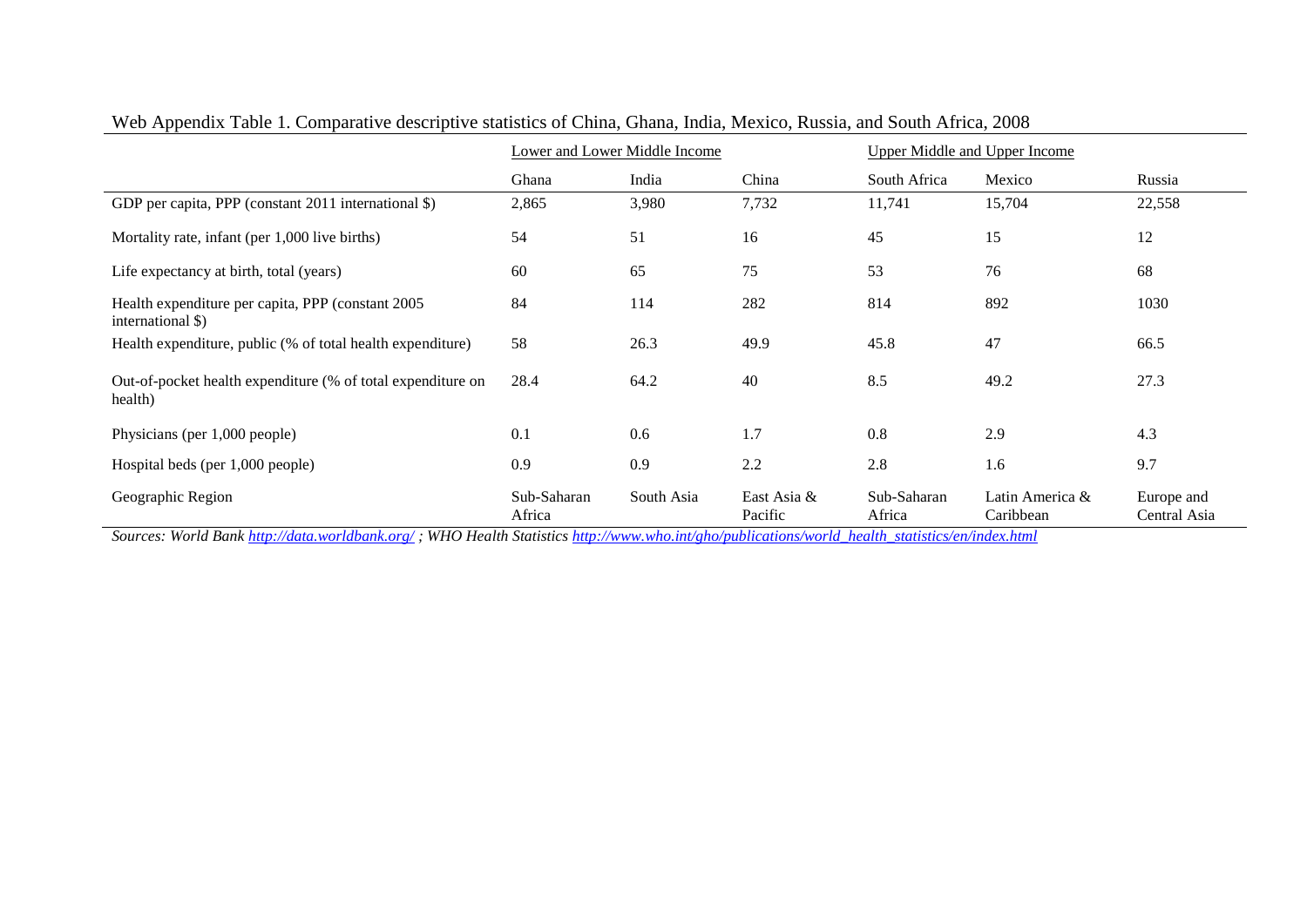|                                                                         | Lower and Lower Middle Income |            |                        | <b>Upper Middle and Upper Income</b> |                              |                            |
|-------------------------------------------------------------------------|-------------------------------|------------|------------------------|--------------------------------------|------------------------------|----------------------------|
|                                                                         | Ghana                         | India      | China                  | South Africa                         | Mexico                       | Russia                     |
| GDP per capita, PPP (constant 2011 international \$)                    | 2,865                         | 3,980      | 7,732                  | 11,741                               | 15,704                       | 22,558                     |
| Mortality rate, infant (per 1,000 live births)                          | 54                            | 51         | 16                     | 45                                   | 15                           | 12                         |
| Life expectancy at birth, total (years)                                 | 60                            | 65         | 75                     | 53                                   | 76                           | 68                         |
| Health expenditure per capita, PPP (constant 2005)<br>international \$) | 84                            | 114        | 282                    | 814                                  | 892                          | 1030                       |
| Health expenditure, public (% of total health expenditure)              | 58                            | 26.3       | 49.9                   | 45.8                                 | 47                           | 66.5                       |
| Out-of-pocket health expenditure (% of total expenditure on<br>health)  | 28.4                          | 64.2       | 40                     | 8.5                                  | 49.2                         | 27.3                       |
| Physicians (per 1,000 people)                                           | 0.1                           | 0.6        | 1.7                    | 0.8                                  | 2.9                          | 4.3                        |
| Hospital beds (per 1,000 people)                                        | 0.9                           | 0.9        | 2.2                    | 2.8                                  | 1.6                          | 9.7                        |
| Geographic Region                                                       | Sub-Saharan<br>Africa         | South Asia | East Asia &<br>Pacific | Sub-Saharan<br>Africa                | Latin America &<br>Caribbean | Europe and<br>Central Asia |

Web Appendix Table 1. Comparative descriptive statistics of China, Ghana, India, Mexico, Russia, and South Africa, 2008

*Sources: World Bank<http://data.worldbank.org/> ; WHO Health Statistic[s http://www.who.int/gho/publications/world\\_health\\_statistics/en/index.html](http://www.who.int/gho/publications/world_health_statistics/en/index.html)*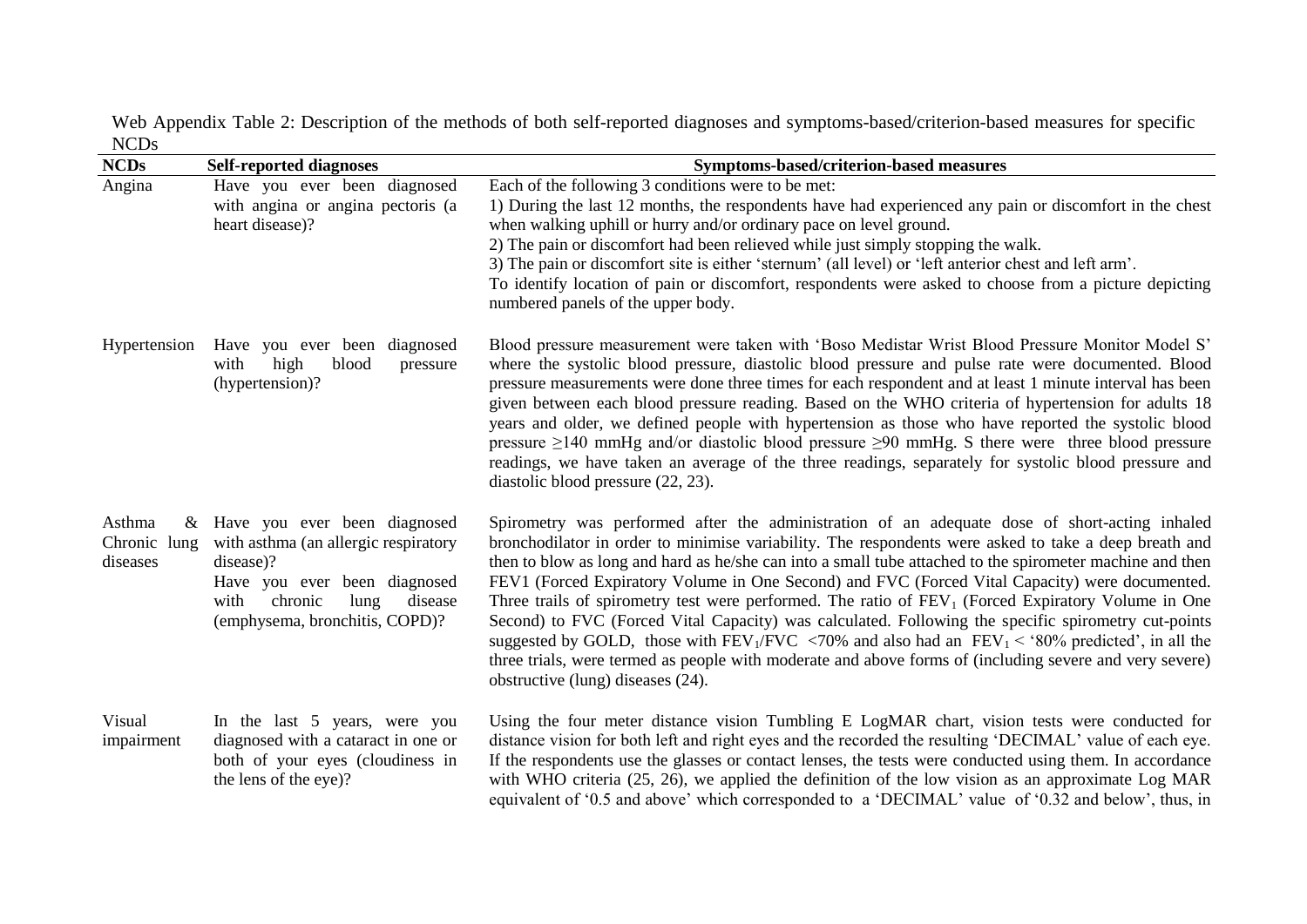Web Appendix Table 2: Description of the methods of both self-reported diagnoses and symptoms-based/criterion-based measures for specific NCDs

| <b>NCDs</b>                           | <b>Self-reported diagnoses</b>                                                                                                                                                              | Symptoms-based/criterion-based measures                                                                                                                                                                                                                                                                                                                                                                                                                                                                                                                                                                                                                                                                                                                                                                                                                                                                         |
|---------------------------------------|---------------------------------------------------------------------------------------------------------------------------------------------------------------------------------------------|-----------------------------------------------------------------------------------------------------------------------------------------------------------------------------------------------------------------------------------------------------------------------------------------------------------------------------------------------------------------------------------------------------------------------------------------------------------------------------------------------------------------------------------------------------------------------------------------------------------------------------------------------------------------------------------------------------------------------------------------------------------------------------------------------------------------------------------------------------------------------------------------------------------------|
| Angina                                | Have you ever been diagnosed<br>with angina or angina pectoris (a<br>heart disease)?                                                                                                        | Each of the following 3 conditions were to be met:<br>1) During the last 12 months, the respondents have had experienced any pain or discomfort in the chest<br>when walking uphill or hurry and/or ordinary pace on level ground.<br>2) The pain or discomfort had been relieved while just simply stopping the walk.<br>3) The pain or discomfort site is either 'sternum' (all level) or 'left anterior chest and left arm'.<br>To identify location of pain or discomfort, respondents were asked to choose from a picture depicting<br>numbered panels of the upper body.                                                                                                                                                                                                                                                                                                                                  |
| Hypertension                          | Have you ever been diagnosed<br>with<br>high<br>blood<br>pressure<br>(hypertension)?                                                                                                        | Blood pressure measurement were taken with 'Boso Medistar Wrist Blood Pressure Monitor Model S'<br>where the systolic blood pressure, diastolic blood pressure and pulse rate were documented. Blood<br>pressure measurements were done three times for each respondent and at least 1 minute interval has been<br>given between each blood pressure reading. Based on the WHO criteria of hypertension for adults 18<br>years and older, we defined people with hypertension as those who have reported the systolic blood<br>pressure $\geq$ 140 mmHg and/or diastolic blood pressure $\geq$ 90 mmHg. S there were three blood pressure<br>readings, we have taken an average of the three readings, separately for systolic blood pressure and<br>diastolic blood pressure (22, 23).                                                                                                                         |
| Asthma<br>Chronic<br>lung<br>diseases | & Have you ever been diagnosed<br>with asthma (an allergic respiratory<br>disease)?<br>Have you ever been diagnosed<br>chronic<br>lung<br>disease<br>with<br>(emphysema, bronchitis, COPD)? | Spirometry was performed after the administration of an adequate dose of short-acting inhaled<br>bronchodilator in order to minimise variability. The respondents were asked to take a deep breath and<br>then to blow as long and hard as he/she can into a small tube attached to the spirometer machine and then<br>FEV1 (Forced Expiratory Volume in One Second) and FVC (Forced Vital Capacity) were documented.<br>Three trails of spirometry test were performed. The ratio of $FEV1$ (Forced Expiratory Volume in One<br>Second) to FVC (Forced Vital Capacity) was calculated. Following the specific spirometry cut-points<br>suggested by GOLD, those with FEV <sub>1</sub> /FVC <70% and also had an FEV <sub>1</sub> < '80% predicted', in all the<br>three trials, were termed as people with moderate and above forms of (including severe and very severe)<br>obstructive (lung) diseases (24). |
| Visual<br>impairment                  | In the last 5 years, were you<br>diagnosed with a cataract in one or<br>both of your eyes (cloudiness in<br>the lens of the eye)?                                                           | Using the four meter distance vision Tumbling E LogMAR chart, vision tests were conducted for<br>distance vision for both left and right eyes and the recorded the resulting 'DECIMAL' value of each eye.<br>If the respondents use the glasses or contact lenses, the tests were conducted using them. In accordance<br>with WHO criteria $(25, 26)$ , we applied the definition of the low vision as an approximate Log MAR<br>equivalent of '0.5 and above' which corresponded to a 'DECIMAL' value of '0.32 and below', thus, in                                                                                                                                                                                                                                                                                                                                                                            |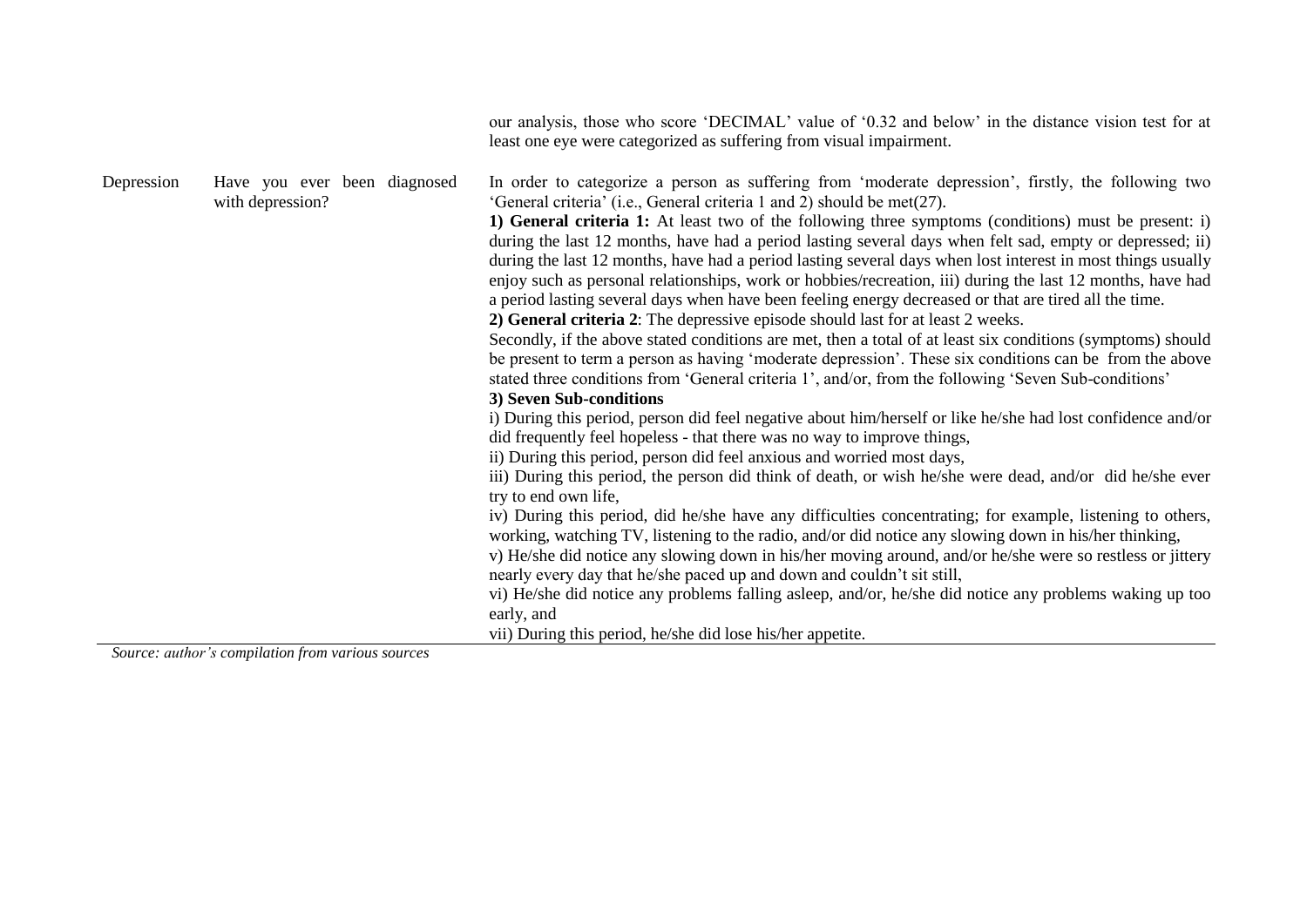|            |                                                   | our analysis, those who score 'DECIMAL' value of '0.32 and below' in the distance vision test for at<br>least one eye were categorized as suffering from visual impairment.                                                                                                                                                                                                                                                                                                                                                                                                                                                                                                                                                                                                                                                                                                                                                                                                                                                                                                                                                                                                                                                                                                                                                                                                                                                                                                                                                                                                                                                                                                                                                                                                                                                                                                                                                                                                                                                                                                                                                                                                                         |
|------------|---------------------------------------------------|-----------------------------------------------------------------------------------------------------------------------------------------------------------------------------------------------------------------------------------------------------------------------------------------------------------------------------------------------------------------------------------------------------------------------------------------------------------------------------------------------------------------------------------------------------------------------------------------------------------------------------------------------------------------------------------------------------------------------------------------------------------------------------------------------------------------------------------------------------------------------------------------------------------------------------------------------------------------------------------------------------------------------------------------------------------------------------------------------------------------------------------------------------------------------------------------------------------------------------------------------------------------------------------------------------------------------------------------------------------------------------------------------------------------------------------------------------------------------------------------------------------------------------------------------------------------------------------------------------------------------------------------------------------------------------------------------------------------------------------------------------------------------------------------------------------------------------------------------------------------------------------------------------------------------------------------------------------------------------------------------------------------------------------------------------------------------------------------------------------------------------------------------------------------------------------------------------|
| Depression | Have you ever been diagnosed<br>with depression?  | In order to categorize a person as suffering from 'moderate depression', firstly, the following two<br>'General criteria' (i.e., General criteria 1 and 2) should be met(27).<br>1) General criteria 1: At least two of the following three symptoms (conditions) must be present: i)<br>during the last 12 months, have had a period lasting several days when felt sad, empty or depressed; ii)<br>during the last 12 months, have had a period lasting several days when lost interest in most things usually<br>enjoy such as personal relationships, work or hobbies/recreation, iii) during the last 12 months, have had<br>a period lasting several days when have been feeling energy decreased or that are tired all the time.<br>2) General criteria 2: The depressive episode should last for at least 2 weeks.<br>Secondly, if the above stated conditions are met, then a total of at least six conditions (symptoms) should<br>be present to term a person as having 'moderate depression'. These six conditions can be from the above<br>stated three conditions from 'General criteria 1', and/or, from the following 'Seven Sub-conditions'<br>3) Seven Sub-conditions<br>i) During this period, person did feel negative about him/herself or like he/she had lost confidence and/or<br>did frequently feel hopeless - that there was no way to improve things,<br>ii) During this period, person did feel anxious and worried most days,<br>iii) During this period, the person did think of death, or wish he/she were dead, and/or did he/she ever<br>try to end own life,<br>iv) During this period, did he/she have any difficulties concentrating; for example, listening to others,<br>working, watching TV, listening to the radio, and/or did notice any slowing down in his/her thinking,<br>v) He/she did notice any slowing down in his/her moving around, and/or he/she were so restless or jittery<br>nearly every day that he/she paced up and down and couldn't sit still,<br>vi) He/she did notice any problems falling asleep, and/or, he/she did notice any problems waking up too<br>early, and<br>vii) During this period, he/she did lose his/her appetite. |
|            | Source: author's compilation from various sources |                                                                                                                                                                                                                                                                                                                                                                                                                                                                                                                                                                                                                                                                                                                                                                                                                                                                                                                                                                                                                                                                                                                                                                                                                                                                                                                                                                                                                                                                                                                                                                                                                                                                                                                                                                                                                                                                                                                                                                                                                                                                                                                                                                                                     |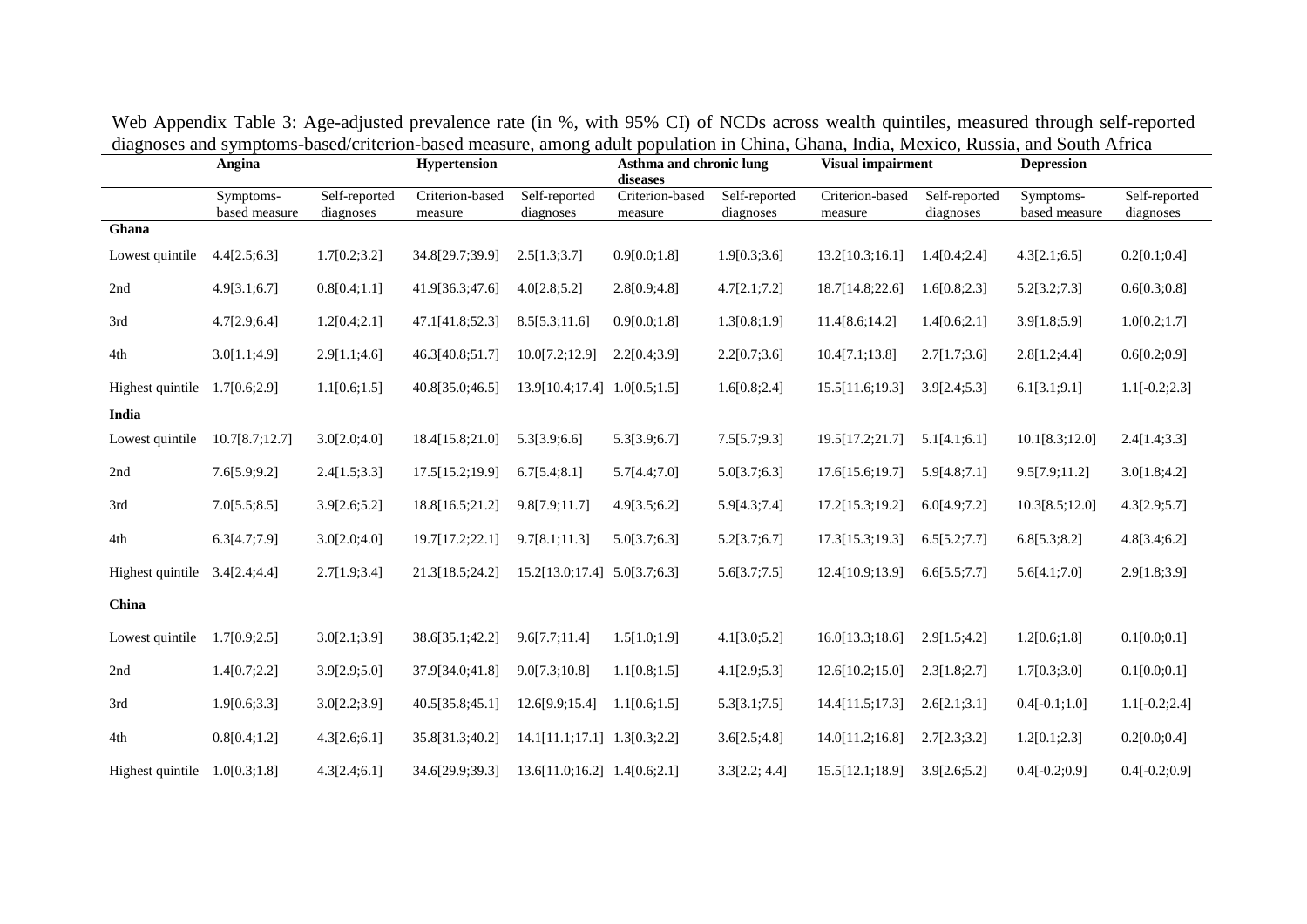|                  | Angina<br>Symptoms- |                            | Hypertension               |                                   | Asthma and chronic lung<br>diseases |                            | <b>Visual impairment</b>   |                            | <b>Depression</b>          |                            |
|------------------|---------------------|----------------------------|----------------------------|-----------------------------------|-------------------------------------|----------------------------|----------------------------|----------------------------|----------------------------|----------------------------|
|                  | based measure       | Self-reported<br>diagnoses | Criterion-based<br>measure | Self-reported<br>diagnoses        | Criterion-based<br>measure          | Self-reported<br>diagnoses | Criterion-based<br>measure | Self-reported<br>diagnoses | Symptoms-<br>based measure | Self-reported<br>diagnoses |
| Ghana            |                     |                            |                            |                                   |                                     |                            |                            |                            |                            |                            |
| Lowest quintile  | 4.4[2.5;6.3]        | 1.7[0.2;3.2]               | 34.8[29.7;39.9]            | 2.5[1.3;3.7]                      | 0.9[0.0;1.8]                        | 1.9[0.3;3.6]               | 13.2[10.3;16.1]            | 1.4[0.4;2.4]               | 4.3[2.1;6.5]               | 0.2[0.1;0.4]               |
| 2nd              | 4.9[3.1;6.7]        | 0.8[0.4;1.1]               | 41.9[36.3;47.6]            | 4.0[2.8;5.2]                      | 2.8[0.9;4.8]                        | 4.7[2.1;7.2]               | 18.7[14.8;22.6]            | 1.6[0.8;2.3]               | 5.2[3.2;7.3]               | 0.6[0.3;0.8]               |
| 3rd              | 4.7[2.9;6.4]        | 1.2[0.4;2.1]               | 47.1[41.8;52.3]            | 8.5[5.3;11.6]                     | 0.9[0.0;1.8]                        | 1.3[0.8;1.9]               | 11.4[8.6;14.2]             | 1.4[0.6;2.1]               | 3.9[1.8;5.9]               | 1.0[0.2;1.7]               |
| 4th              | 3.0[1.1;4.9]        | 2.9[1.1;4.6]               | 46.3[40.8;51.7]            | 10.0[7.2;12.9]                    | 2.2[0.4;3.9]                        | 2.2[0.7;3.6]               | 10.4[7.1;13.8]             | 2.7[1.7;3.6]               | 2.8[1.2;4.4]               | 0.6[0.2;0.9]               |
| Highest quintile | 1.7[0.6;2.9]        | 1.1[0.6;1.5]               | 40.8[35.0;46.5]            | 13.9[10.4;17.4] 1.0[0.5;1.5]      |                                     | 1.6[0.8;2.4]               | 15.5[11.6;19.3]            | 3.9[2.4;5.3]               | 6.1[3.1;9.1]               | $1.1[-0.2;2.3]$            |
| India            |                     |                            |                            |                                   |                                     |                            |                            |                            |                            |                            |
| Lowest quintile  | 10.7[8.7;12.7]      | 3.0[2.0;4.0]               | 18.4[15.8;21.0]            | 5.3[3.9;6.6]                      | 5.3[3.9;6.7]                        | 7.5[5.7;9.3]               | 19.5[17.2;21.7]            | 5.1[4.1;6.1]               | 10.1[8.3;12.0]             | 2.4[1.4;3.3]               |
| 2nd              | 7.6[5.9;9.2]        | 2.4[1.5;3.3]               | 17.5[15.2;19.9]            | 6.7[5.4;8.1]                      | 5.7[4.4;7.0]                        | 5.0[3.7;6.3]               | 17.6[15.6;19.7]            | 5.9[4.8;7.1]               | 9.5[7.9;11.2]              | 3.0[1.8;4.2]               |
| 3rd              | 7.0[5.5;8.5]        | 3.9[2.6;5.2]               | 18.8[16.5;21.2]            | 9.8[7.9;11.7]                     | 4.9[3.5;6.2]                        | 5.9[4.3;7.4]               | 17.2[15.3;19.2]            | 6.0[4.9;7.2]               | 10.3[8.5;12.0]             | 4.3[2.9;5.7]               |
| 4th              | 6.3[4.7;7.9]        | 3.0[2.0;4.0]               | 19.7[17.2;22.1]            | 9.7[8.1;11.3]                     | 5.0[3.7;6.3]                        | 5.2[3.7;6.7]               | 17.3[15.3;19.3]            | 6.5[5.2;7.7]               | 6.8[5.3;8.2]               | 4.8[3.4;6.2]               |
| Highest quintile | 3.4[2.4;4.4]        | 2.7[1.9;3.4]               | 21.3[18.5;24.2]            | 15.2[13.0;17.4] 5.0[3.7;6.3]      |                                     | 5.6[3.7;7.5]               | 12.4[10.9;13.9]            | 6.6[5.5;7.7]               | 5.6[4.1;7.0]               | 2.9[1.8;3.9]               |
| China            |                     |                            |                            |                                   |                                     |                            |                            |                            |                            |                            |
| Lowest quintile  | 1.7[0.9;2.5]        | 3.0[2.1;3.9]               | 38.6[35.1;42.2]            | 9.6[7.7;11.4]                     | 1.5[1.0;1.9]                        | 4.1[3.0;5.2]               | 16.0[13.3;18.6]            | 2.9[1.5;4.2]               | 1.2[0.6;1.8]               | 0.1[0.0;0.1]               |
| 2nd              | 1.4[0.7;2.2]        | 3.9[2.9;5.0]               | 37.9[34.0;41.8]            | 9.0[7.3;10.8]                     | 1.1[0.8;1.5]                        | 4.1[2.9;5.3]               | 12.6[10.2;15.0]            | 2.3[1.8;2.7]               | 1.7[0.3;3.0]               | 0.1[0.0;0.1]               |
| 3rd              | 1.9[0.6;3.3]        | 3.0[2.2;3.9]               | 40.5[35.8;45.1]            | 12.6[9.9;15.4]                    | 1.1[0.6;1.5]                        | 5.3[3.1;7.5]               | 14.4[11.5;17.3]            | 2.6[2.1;3.1]               | $0.4[-0.1;1.0]$            | $1.1[-0.2;2.4]$            |
| 4th              | 0.8[0.4;1.2]        | 4.3[2.6;6.1]               | 35.8[31.3;40.2]            | $14.1[11.1;17.1]$ $1.3[0.3;2.2]$  |                                     | 3.6[2.5;4.8]               | 14.0[11.2;16.8]            | 2.7[2.3;3.2]               | 1.2[0.1;2.3]               | 0.2[0.0;0.4]               |
| Highest quintile | 1.0[0.3;1.8]        | 4.3[2.4;6.1]               | 34.6[29.9;39.3]            | $13.6[11.0;16.2]$ 1.4 $[0.6;2.1]$ |                                     | 3.3[2.2; 4.4]              | 15.5[12.1;18.9]            | 3.9[2.6;5.2]               | $0.4[-0.2;0.9]$            | $0.4[-0.2;0.9]$            |

Web Appendix Table 3: Age-adjusted prevalence rate (in %, with 95% CI) of NCDs across wealth quintiles, measured through self-reported diagnoses and symptoms-based/criterion-based measure, among adult population in China, Ghana, India, Mexico, Russia, and South Africa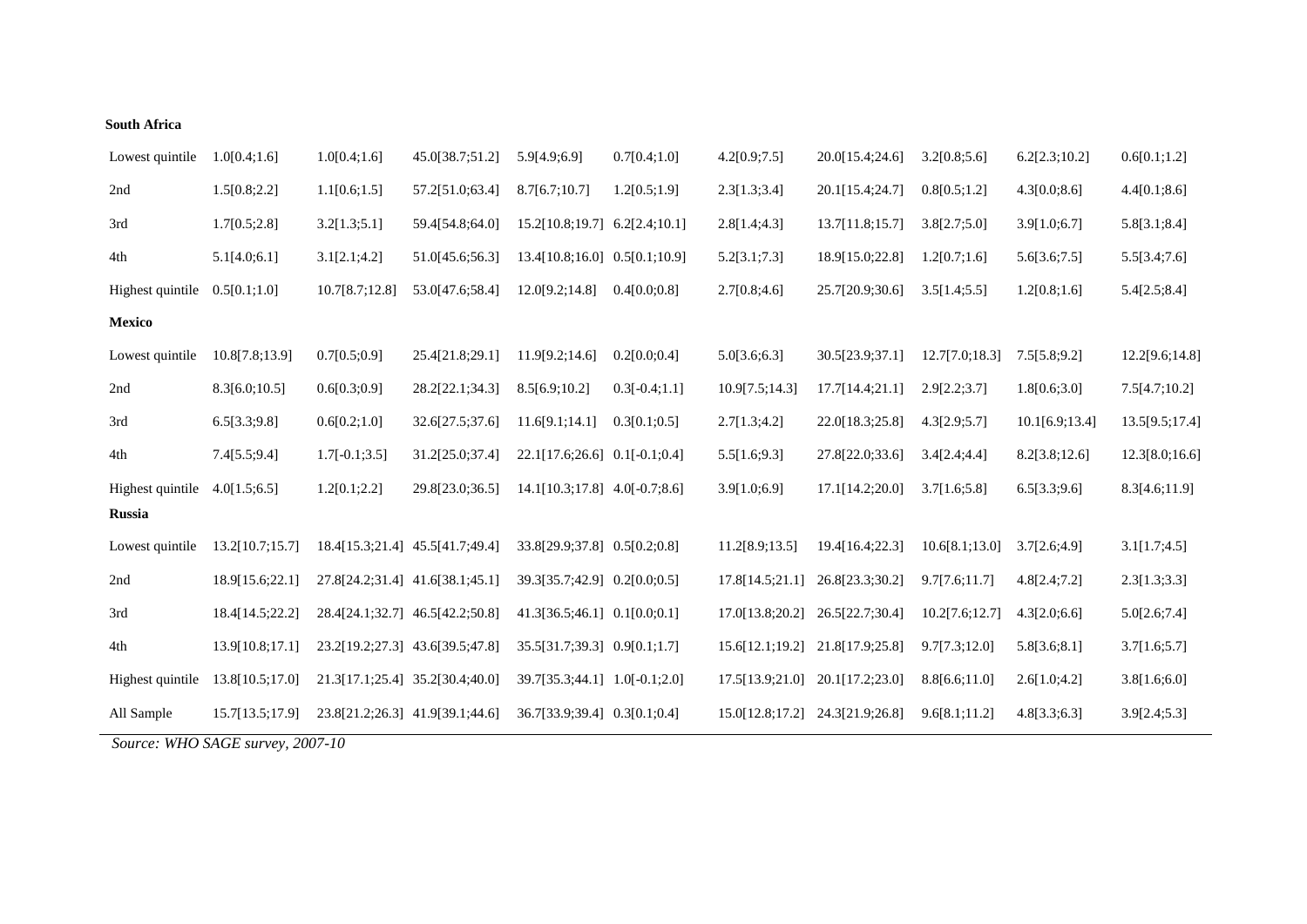### **South Africa**

| Lowest quintile  | 1.0[0.4;1.6]                     | 1.0[0.4;1.6]    | 45.0[38.7;51.2]                 | 5.9[4.9;6.9]                      | 0.7[0.4;1.0]    | 4.2[0.9;7.5]    | 20.0[15.4;24.6]                 | 3.2[0.8;5.6]   | 6.2[2.3;10.2]  | 0.6[0.1;1.2]   |
|------------------|----------------------------------|-----------------|---------------------------------|-----------------------------------|-----------------|-----------------|---------------------------------|----------------|----------------|----------------|
| 2nd              | 1.5[0.8;2.2]                     | 1.1[0.6;1.5]    | 57.2[51.0;63.4]                 | 8.7[6.7;10.7]                     | 1.2[0.5;1.9]    | 2.3[1.3;3.4]    | 20.1[15.4;24.7]                 | 0.8[0.5;1.2]   | 4.3[0.0;8.6]   | 4.4[0.1;8.6]   |
| 3rd              | 1.7[0.5;2.8]                     | 3.2[1.3;5.1]    | 59.4[54.8;64.0]                 | $15.2[10.8;19.7]$ 6.2[2.4;10.1]   |                 | 2.8[1.4;4.3]    | 13.7[11.8;15.7]                 | 3.8[2.7;5.0]   | 3.9[1.0;6.7]   | 5.8[3.1;8.4]   |
| $4th\,$          | 5.1[4.0;6.1]                     | 3.1[2.1;4.2]    | 51.0[45.6;56.3]                 | 13.4[10.8;16.0] 0.5[0.1;10.9]     |                 | 5.2[3.1;7.3]    | 18.9[15.0;22.8]                 | 1.2[0.7;1.6]   | 5.6[3.6;7.5]   | 5.5[3.4;7.6]   |
| Highest quintile | 0.5[0.1;1.0]                     | 10.7[8.7;12.8]  | 53.0[47.6;58.4]                 | 12.0[9.2;14.8]                    | 0.4[0.0;0.8]    | 2.7[0.8;4.6]    | 25.7[20.9;30.6]                 | 3.5[1.4;5.5]   | 1.2[0.8;1.6]   | 5.4[2.5;8.4]   |
| <b>Mexico</b>    |                                  |                 |                                 |                                   |                 |                 |                                 |                |                |                |
| Lowest quintile  | 10.8[7.8;13.9]                   | 0.7[0.5;0.9]    | 25.4[21.8;29.1]                 | 11.9[9.2;14.6]                    | 0.2[0.0;0.4]    | 5.0[3.6;6.3]    | 30.5[23.9;37.1]                 | 12.7[7.0;18.3] | 7.5[5.8;9.2]   | 12.2[9.6;14.8] |
| 2nd              | 8.3[6.0;10.5]                    | 0.6[0.3;0.9]    | 28.2[22.1;34.3]                 | 8.5[6.9;10.2]                     | $0.3[-0.4;1.1]$ | 10.9[7.5;14.3]  | 17.7[14.4;21.1]                 | 2.9[2.2;3.7]   | 1.8[0.6;3.0]   | 7.5[4.7;10.2]  |
| 3rd              | 6.5[3.3;9.8]                     | 0.6[0.2;1.0]    | 32.6[27.5;37.6]                 | 11.6[9.1;14.1]                    | 0.3[0.1;0.5]    | 2.7[1.3;4.2]    | 22.0[18.3;25.8]                 | 4.3[2.9;5.7]   | 10.1[6.9;13.4] | 13.5[9.5;17.4] |
| 4th              | 7.4[5.5;9.4]                     | $1.7[-0.1;3.5]$ | 31.2[25.0;37.4]                 | $22.1[17.6;26.6]$ 0.1[-0.1;0.4]   |                 | 5.5[1.6;9.3]    | 27.8[22.0;33.6]                 | 3.4[2.4;4.4]   | 8.2[3.8;12.6]  | 12.3[8.0;16.6] |
| Highest quintile | 4.0[1.5;6.5]                     | 1.2[0.1;2.2]    | 29.8[23.0;36.5]                 | $14.1[10.3;17.8]$ $4.0[-0.7;8.6]$ |                 | 3.9[1.0;6.9]    | 17.1[14.2;20.0]                 | 3.7[1.6;5.8]   | 6.5[3.3;9.6]   | 8.3[4.6;11.9]  |
| <b>Russia</b>    |                                  |                 |                                 |                                   |                 |                 |                                 |                |                |                |
| Lowest quintile  | 13.2[10.7;15.7]                  |                 | 18.4[15.3;21.4] 45.5[41.7;49.4] | 33.8[29.9;37.8] 0.5[0.2;0.8]      |                 | 11.2[8.9;13.5]  | 19.4[16.4;22.3]                 | 10.6[8.1;13.0] | 3.7[2.6;4.9]   | 3.1[1.7;4.5]   |
| 2nd              | 18.9[15.6;22.1]                  |                 | 27.8[24.2;31.4] 41.6[38.1;45.1] | 39.3[35.7;42.9] 0.2[0.0;0.5]      |                 | 17.8[14.5;21.1] | 26.8[23.3;30.2]                 | 9.7[7.6;11.7]  | 4.8[2.4;7.2]   | 2.3[1.3;3.3]   |
| 3rd              | 18.4[14.5;22.2]                  |                 | 28.4[24.1;32.7] 46.5[42.2;50.8] | $41.3[36.5;46.1]$ $0.1[0.0;0.1]$  |                 | 17.0[13.8;20.2] | 26.5[22.7;30.4]                 | 10.2[7.6;12.7] | 4.3[2.0;6.6]   | 5.0[2.6;7.4]   |
| 4th              | 13.9[10.8;17.1]                  |                 | 23.2[19.2;27.3] 43.6[39.5;47.8] | 35.5[31.7;39.3] 0.9[0.1;1.7]      |                 |                 | 15.6[12.1;19.2] 21.8[17.9;25.8] | 9.7[7.3;12.0]  | 5.8[3.6;8.1]   | 3.7[1.6;5.7]   |
| Highest quintile | 13.8[10.5;17.0]                  |                 | 21.3[17.1;25.4] 35.2[30.4;40.0] | 39.7[35.3;44.1] 1.0[-0.1;2.0]     |                 | 17.5[13.9;21.0] | 20.1[17.2;23.0]                 | 8.8[6.6;11.0]  | 2.6[1.0;4.2]   | 3.8[1.6;6.0]   |
| All Sample       | 15.7[13.5;17.9]                  |                 | 23.8[21.2;26.3] 41.9[39.1;44.6] | 36.7[33.9;39.4] 0.3[0.1;0.4]      |                 | 15.0[12.8;17.2] | 24.3[21.9;26.8]                 | 9.6[8.1;11.2]  | 4.8[3.3;6.3]   | 3.9[2.4;5.3]   |
|                  | Source: WHO SAGE survey, 2007-10 |                 |                                 |                                   |                 |                 |                                 |                |                |                |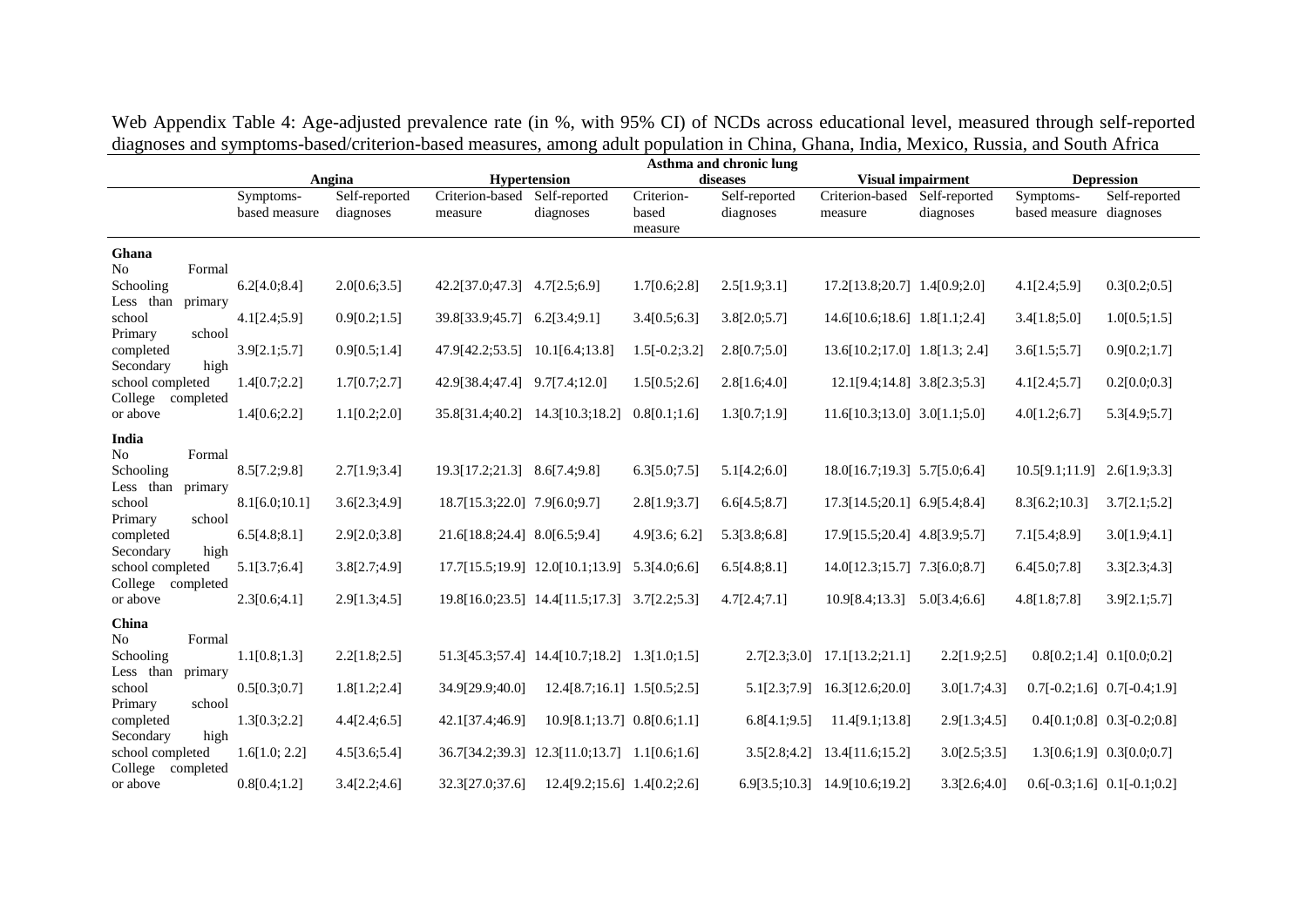Web Appendix Table 4: Age-adjusted prevalence rate (in %, with 95% CI) of NCDs across educational level, measured through self-reported diagnoses and symptoms-based/criterion-based measures, among adult population in China, Ghana, India, Mexico, Russia, and South Africa

|                                                            |                            |                            |                               |                                              |                                | Asthma and chronic lung    |                                          |              |                                      |                                 |
|------------------------------------------------------------|----------------------------|----------------------------|-------------------------------|----------------------------------------------|--------------------------------|----------------------------|------------------------------------------|--------------|--------------------------------------|---------------------------------|
|                                                            |                            | Angina                     |                               | <b>Hypertension</b>                          |                                | diseases                   | <b>Visual impairment</b>                 |              |                                      | <b>Depression</b>               |
|                                                            | Symptoms-<br>based measure | Self-reported<br>diagnoses | Criterion-based<br>measure    | Self-reported<br>diagnoses                   | Criterion-<br>based<br>measure | Self-reported<br>diagnoses | Criterion-based Self-reported<br>measure | diagnoses    | Symptoms-<br>based measure diagnoses | Self-reported                   |
| Ghana<br>N <sub>o</sub><br>Formal                          |                            |                            |                               |                                              |                                |                            |                                          |              |                                      |                                 |
| Schooling<br>Less than primary                             | 6.2[4.0;8.4]               | 2.0[0.6;3.5]               | 42.2[37.0;47.3] 4.7[2.5;6.9]  |                                              | 1.7[0.6;2.8]                   | 2.5[1.9;3.1]               | 17.2[13.8;20.7] 1.4[0.9;2.0]             |              | 4.1[2.4;5.9]                         | 0.3[0.2;0.5]                    |
| school<br>Primary<br>school                                | 4.1[2.4;5.9]               | 0.9[0.2;1.5]               | 39.8[33.9;45.7]               | 6.2[3.4;9.1]                                 | 3.4[0.5;6.3]                   | 3.8[2.0;5.7]               | $14.6[10.6;18.6]$ 1.8[1.1;2.4]           |              | 3.4[1.8;5.0]                         | 1.0[0.5;1.5]                    |
| completed<br>Secondary<br>high                             | 3.9[2.1;5.7]               | 0.9[0.5;1.4]               | 47.9[42.2;53.5]               | 10.1[6.4;13.8]                               | $1.5[-0.2;3.2]$                | 2.8[0.7;5.0]               | 13.6[10.2;17.0] 1.8[1.3; 2.4]            |              | 3.6[1.5;5.7]                         | 0.9[0.2;1.7]                    |
| school completed<br>College completed                      | 1.4[0.7;2.2]               | 1.7[0.7;2.7]               | 42.9[38.4;47.4] 9.7[7.4;12.0] |                                              | 1.5[0.5;2.6]                   | 2.8[1.6;4.0]               | 12.1[9.4;14.8] 3.8[2.3;5.3]              |              | 4.1[2.4;5.7]                         | 0.2[0.0;0.3]                    |
| or above<br>India                                          | 1.4[0.6;2.2]               | 1.1[0.2;2.0]               |                               | 35.8[31.4;40.2] 14.3[10.3;18.2]              | 0.8[0.1;1.6]                   | 1.3[0.7;1.9]               | 11.6[10.3;13.0] 3.0[1.1;5.0]             |              | 4.0[1.2;6.7]                         | 5.3[4.9;5.7]                    |
| No<br>Formal<br>Schooling<br>Less than primary             | 8.5[7.2;9.8]               | 2.7[1.9;3.4]               | 19.3[17.2;21.3] 8.6[7.4;9.8]  |                                              | 6.3[5.0;7.5]                   | 5.1[4.2;6.0]               | 18.0[16.7;19.3] 5.7[5.0;6.4]             |              | 10.5[9.1;11.9]                       | 2.6[1.9;3.3]                    |
| school<br>Primary<br>school                                | 8.1[6.0;10.1]              | 3.6[2.3;4.9]               | 18.7[15.3;22.0] 7.9[6.0;9.7]  |                                              | 2.8[1.9;3.7]                   | 6.6[4.5;8.7]               | 17.3[14.5;20.1] 6.9[5.4;8.4]             |              | 8.3[6.2;10.3]                        | 3.7[2.1;5.2]                    |
| completed<br>Secondary<br>high                             | 6.5[4.8;8.1]               | 2.9[2.0;3.8]               | 21.6[18.8;24.4] 8.0[6.5;9.4]  |                                              | 4.9[3.6; 6.2]                  | 5.3[3.8;6.8]               | 17.9[15.5;20.4] 4.8[3.9;5.7]             |              | 7.1[5.4;8.9]                         | 3.0[1.9;4.1]                    |
| school completed<br>College<br>completed                   | 5.1[3.7;6.4]               | 3.8[2.7;4.9]               |                               | 17.7[15.5;19.9] 12.0[10.1;13.9]              | 5.3[4.0;6.6]                   | 6.5[4.8;8.1]               | 14.0[12.3;15.7] 7.3[6.0;8.7]             |              | 6.4[5.0;7.8]                         | 3.3[2.3;4.3]                    |
| or above<br>China                                          | 2.3[0.6;4.1]               | 2.9[1.3;4.5]               |                               | 19.8[16.0;23.5] 14.4[11.5;17.3] 3.7[2.2;5.3] |                                | 4.7[2.4;7.1]               | $10.9[8.4;13.3]$ $5.0[3.4;6.6]$          |              | 4.8[1.8;7.8]                         | 3.9[2.1;5.7]                    |
| N <sub>0</sub><br>Formal<br>Schooling<br>Less than primary | 1.1[0.8;1.3]               | 2.2[1.8;2.5]               |                               | 51.3[45.3;57.4] 14.4[10.7;18.2] 1.3[1.0;1.5] |                                | 2.7[2.3;3.0]               | 17.1[13.2;21.1]                          | 2.2[1.9;2.5] | $0.8[0.2;1.4]$ $0.1[0.0;0.2]$        |                                 |
| school<br>Primary<br>school                                | 0.5[0.3;0.7]               | 1.8[1.2;2.4]               | 34.9[29.9;40.0]               | $12.4[8.7;16.1]$ $1.5[0.5;2.5]$              |                                | 5.1[2.3;7.9]               | 16.3[12.6;20.0]                          | 3.0[1.7;4.3] |                                      | $0.7[-0.2;1.6]$ $0.7[-0.4;1.9]$ |
| completed<br>Secondary<br>high                             | 1.3[0.3;2.2]               | 4.4[2.4;6.5]               | 42.1[37.4;46.9]               | $10.9[8.1;13.7]$ $0.8[0.6;1.1]$              |                                | 6.8[4.1;9.5]               | 11.4[9.1;13.8]                           | 2.9[1.3;4.5] |                                      | $0.4[0.1;0.8]$ $0.3[-0.2;0.8]$  |
| school completed<br>College<br>completed                   | 1.6[1.0; 2.2]              | 4.5[3.6;5.4]               |                               | 36.7[34.2;39.3] 12.3[11.0;13.7] 1.1[0.6;1.6] |                                | 3.5[2.8;4.2]               | 13.4[11.6;15.2]                          | 3.0[2.5;3.5] |                                      | $1.3[0.6;1.9]$ $0.3[0.0;0.7]$   |
| or above                                                   | 0.8[0.4;1.2]               | 3.4[2.2;4.6]               | 32.3[27.0;37.6]               | $12.4[9.2;15.6]$ 1.4[0.2;2.6]                |                                |                            | 6.9[3.5;10.3] 14.9[10.6;19.2]            | 3.3[2.6;4.0] | $0.6[-0.3;1.6]$ $0.1[-0.1;0.2]$      |                                 |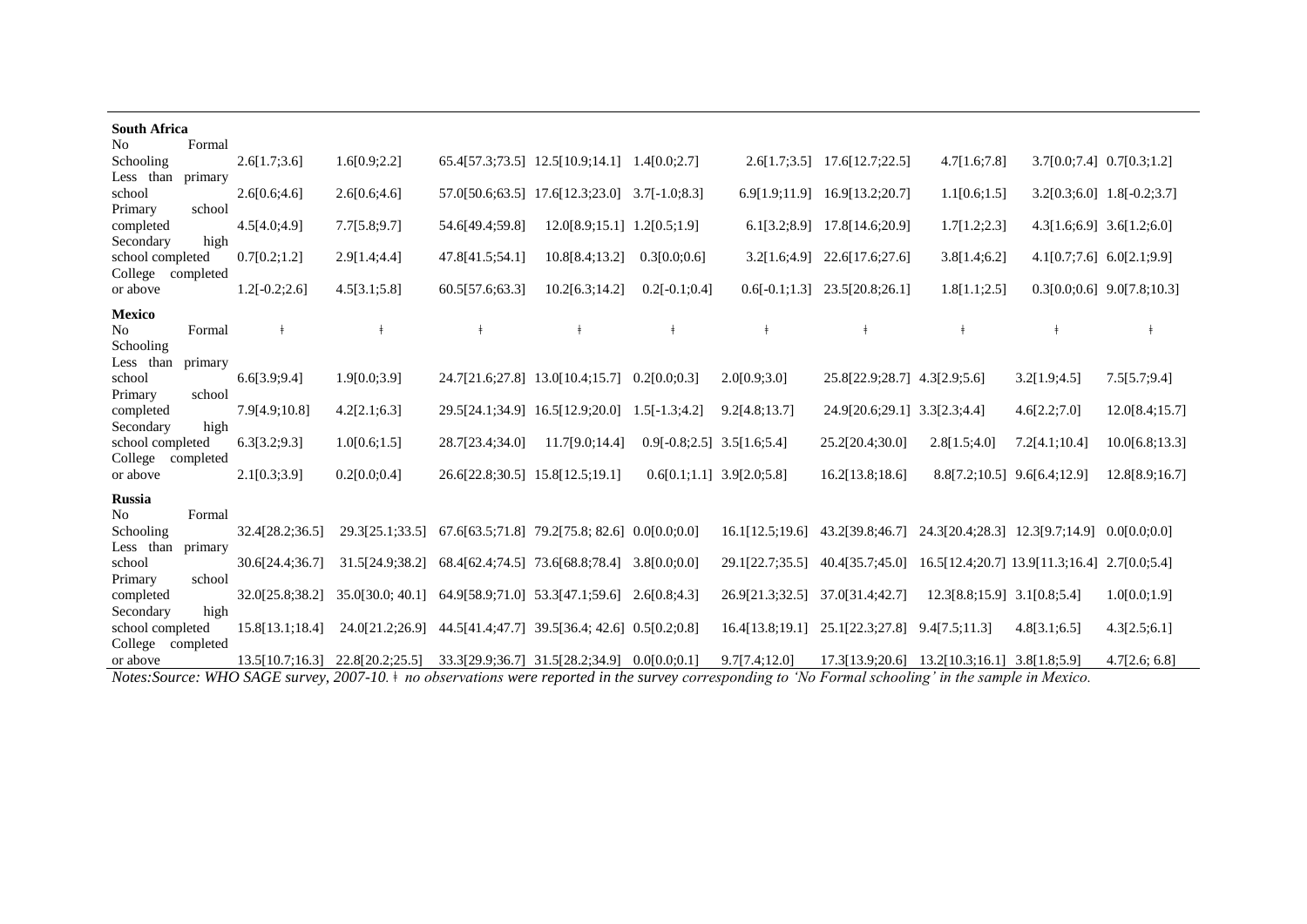| <b>South Africa</b><br>N <sub>o</sub>        | Formal            |                 |                  |                                                 |                                               |                                 |                 |                                              |                                 |                               |                              |
|----------------------------------------------|-------------------|-----------------|------------------|-------------------------------------------------|-----------------------------------------------|---------------------------------|-----------------|----------------------------------------------|---------------------------------|-------------------------------|------------------------------|
| Schooling<br>Less than                       | primary           | 2.6[1.7;3.6]    | 1.6[0.9;2.2]     |                                                 | 65.4[57.3;73.5] 12.5[10.9;14.1] 1.4[0.0;2.7]  |                                 |                 | $2.6[1.7;3.5]$ 17.6[12.7;22.5]               | 4.7[1.6;7.8]                    | $3.7[0.0;7.4]$ $0.7[0.3;1.2]$ |                              |
| school<br>Primary                            | school            | 2.6[0.6;4.6]    | 2.6[0.6;4.6]     |                                                 | 57.0[50.6;63.5] 17.6[12.3;23.0] 3.7[-1.0;8.3] |                                 |                 | 6.9[1.9;11.9] 16.9[13.2;20.7]                | 1.1[0.6;1.5]                    |                               | $3.2[0.3;6.0]$ 1.8[-0.2;3.7] |
| completed<br>Secondary                       | high              | 4.5[4.0;4.9]    | 7.7[5.8;9.7]     | 54.6[49.4:59.8]                                 | 12.0[8.9;15.1] 1.2[0.5;1.9]                   |                                 |                 | 6.1[3.2;8.9] 17.8[14.6;20.9]                 | 1.7[1.2;2.3]                    | 4.3[1.6;6.9] 3.6[1.2;6.0]     |                              |
| school completed<br>College<br>completed     |                   | 0.7[0.2;1.2]    | 2.9[1.4;4.4]     | 47.8[41.5;54.1]                                 | 10.8[8.4;13.2]                                | 0.3[0.0;0.6]                    | 3.2[1.6;4.9]    | 22.6[17.6;27.6]                              | 3.8[1.4;6.2]                    | $4.1[0.7;7.6]$ 6.0[2.1;9.9]   |                              |
| or above                                     |                   | $1.2[-0.2;2.6]$ | 4.5[3.1;5.8]     | 60.5[57.6;63.3]                                 | 10.2[6.3;14.2]                                | $0.2[-0.1;0.4]$                 |                 | $0.6[-0.1;1.3]$ 23.5[20.8;26.1]              | 1.8[1.1;2.5]                    |                               | $0.3[0.0;0.6]$ 9.0[7.8;10.3] |
| <b>Mexico</b><br>N <sub>o</sub><br>Schooling | Formal            | $\ddagger$      | $\ddagger$       | $\frac{1}{\sqrt{2}}$                            | $\ddagger$                                    | $\ddagger$                      | $\pm$           | $\ddagger$                                   | $\pm$                           | $\pm$                         | $\ddagger$                   |
| Less than<br>school<br>Primary               | primary<br>school | 6.6[3.9:9.4]    | 1.9[0.0;3.9]     | 24.7[21.6;27.8] 13.0[10.4;15.7] 0.2[0.0;0.3]    |                                               |                                 | 2.0[0.9;3.0]    | 25.8[22.9;28.7] 4.3[2.9;5.6]                 |                                 | 3.2[1.9;4.5]                  | 7.5[5.7;9.4]                 |
| completed<br>Secondary                       | high              | 7.9[4.9;10.8]   | 4.2[2.1;6.3]     |                                                 | 29.5[24.1;34.9] 16.5[12.9;20.0] 1.5[-1.3;4.2] |                                 | 9.2[4.8;13.7]   | 24.9[20.6;29.1] 3.3[2.3;4.4]                 |                                 | 4.6[2.2;7.0]                  | 12.0[8.4;15.7]               |
| school completed<br>College                  | completed         | 6.3[3.2;9.3]    | 1.0[0.6;1.5]     | 28.7[23.4;34.0]                                 | 11.7[9.0;14.4]                                | $0.9[-0.8;2.5]$ 3.5 $[1.6;5.4]$ |                 | 25.2[20.4;30.0]                              | 2.8[1.5;4.0]                    | 7.2[4.1;10.4]                 | 10.0[6.8;13.3]               |
| or above                                     |                   | 2.1[0.3;3.9]    | 0.2[0.0;0.4]     | 26.6[22.8;30.5] 15.8[12.5;19.1]                 |                                               | $0.6[0.1;1.1]$ 3.9[2.0;5.8]     |                 | 16.2[13.8;18.6]                              | 8.8[7.2;10.5] 9.6[6.4;12.9]     |                               | 12.8[8.9;16.7]               |
| <b>Russia</b><br>N <sub>o</sub>              | Formal            |                 |                  |                                                 |                                               |                                 |                 |                                              |                                 |                               |                              |
| Schooling<br>Less than                       | primary           | 32.4[28.2;36.5] | 29.3[25.1;33.5]  | $67.6[63.5;71.8]$ 79.2[75.8; 82.6] 0.0[0.0;0.0] |                                               |                                 | 16.1[12.5;19.6] | 43.2[39.8;46.7]                              | 24.3[20.4;28.3] 12.3[9.7;14.9]  |                               | 0.0[0.0;0.0]                 |
| school<br>Primary                            | school            | 30.6[24.4;36.7] | 31.5[24.9:38.2]  |                                                 | 68.4[62.4;74.5] 73.6[68.8;78.4] 3.8[0.0;0.0]  |                                 | 29.1[22.7;35.5] | 40.4[35.7;45.0]                              | 16.5[12.4;20.7] 13.9[11.3;16.4] |                               | 2.7[0.0;5.4]                 |
| completed<br>Secondary                       | high              | 32.0[25.8;38.2] | 35.0[30.0; 40.1] | 64.9[58.9;71.0] 53.3[47.1;59.6] 2.6[0.8;4.3]    |                                               |                                 | 26.9[21.3:32.5] | 37.0[31.4;42.7]                              | 12.3[8.8;15.9] 3.1[0.8;5.4]     |                               | 1.0[0.0;1.9]                 |
| school completed<br>College<br>completed     |                   | 15.8[13.1;18.4] | 24.0[21.2;26.9]  |                                                 | 44.5[41.4;47.7] 39.5[36.4; 42.6] 0.5[0.2;0.8] |                                 | 16.4[13.8;19.1] | 25.1[22.3;27.8]                              | 9.4[7.5;11.3]                   | 4.8[3.1;6.5]                  | 4.3[2.5;6.1]                 |
| or above                                     |                   | 13.5[10.7;16.3] | 22.8[20.2;25.5]  |                                                 | 33.3[29.9;36.7] 31.5[28.2;34.9] 0.0[0.0;0.1]  |                                 | 9.7[7.4;12.0]   | 17.3[13.9;20.6] 13.2[10.3;16.1] 3.8[1.8;5.9] |                                 |                               | 4.7[2.6; 6.8]                |

*Notes:Source: WHO SAGE survey, 2007-10. ǂ no observations were reported in the survey corresponding to 'No Formal schooling' in the sample in Mexico.*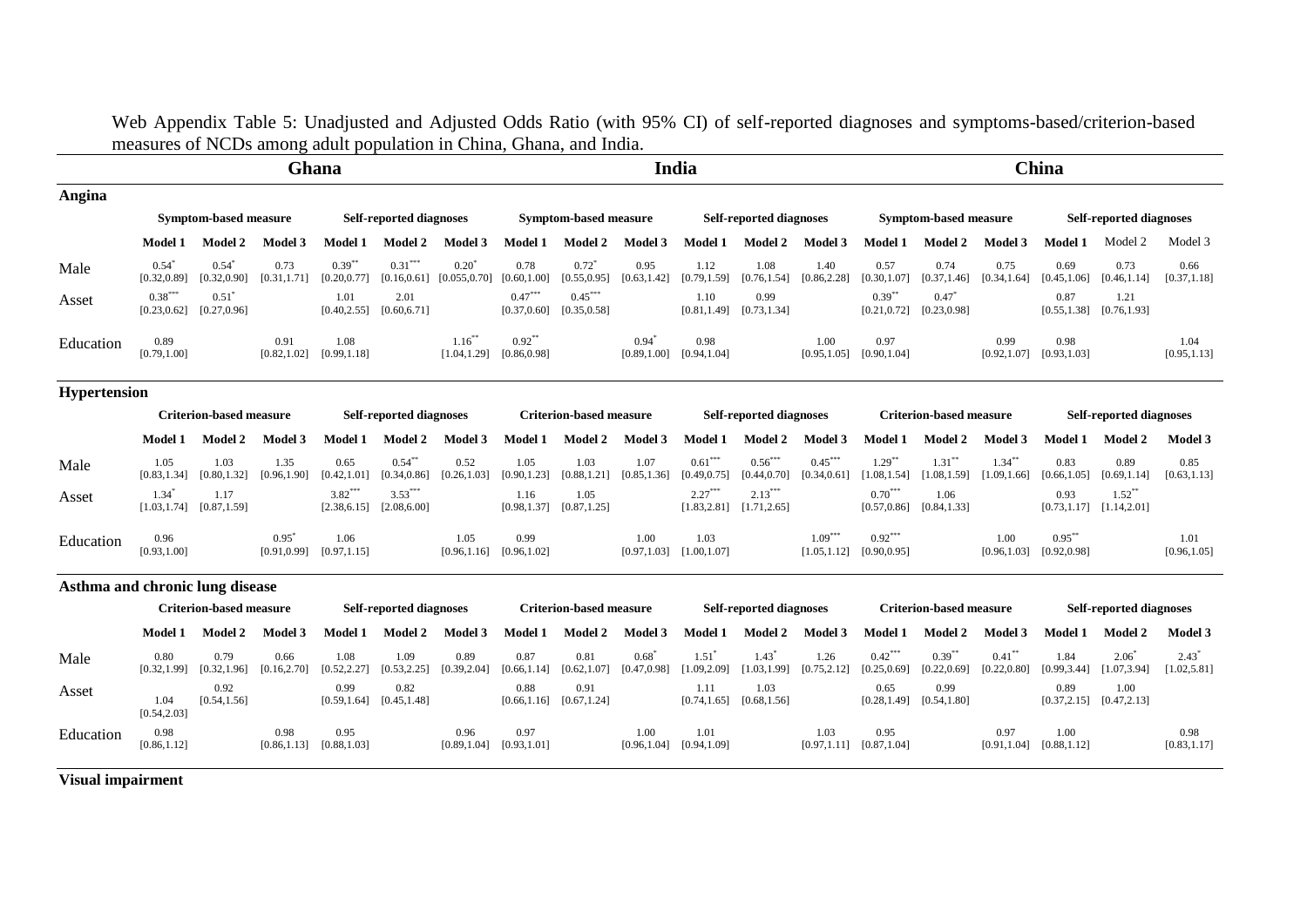Web Appendix Table 5: Unadjusted and Adjusted Odds Ratio (with 95% CI) of self-reported diagnoses and symptoms-based/criterion-based measures of NCDs among adult population in China, Ghana, and India.

|                                 |                                                                  |                                     |                      | Ghana                                 |                                |                           |                                       |                                       |                         | India                     |                                       |                           |                                       |                                       |                           | China                     |                                           |                         |
|---------------------------------|------------------------------------------------------------------|-------------------------------------|----------------------|---------------------------------------|--------------------------------|---------------------------|---------------------------------------|---------------------------------------|-------------------------|---------------------------|---------------------------------------|---------------------------|---------------------------------------|---------------------------------------|---------------------------|---------------------------|-------------------------------------------|-------------------------|
| Angina                          |                                                                  |                                     |                      |                                       |                                |                           |                                       |                                       |                         |                           |                                       |                           |                                       |                                       |                           |                           |                                           |                         |
|                                 |                                                                  | <b>Symptom-based measure</b>        |                      |                                       | <b>Self-reported diagnoses</b> |                           |                                       | <b>Symptom-based measure</b>          |                         |                           | <b>Self-reported diagnoses</b>        |                           |                                       | <b>Symptom-based measure</b>          |                           |                           | <b>Self-reported diagnoses</b>            |                         |
|                                 | <b>Model 1</b>                                                   | Model 2                             | Model 3              | Model 1                               | Model 2                        | Model 3                   | Model 1                               | Model 2                               | Model 3                 | <b>Model 1</b>            | <b>Model 2</b>                        | Model 3                   | <b>Model 1</b>                        | Model 2                               | Model 3                   | <b>Model 1</b>            | Model 2                                   | Model 3                 |
| Male                            | $0.54^*$<br>[0.32, 0.89]                                         | $0.54^*$<br>[0.32, 0.90]            | 0.73<br>[0.31, 1.71] | $0.39***$<br>[0.20, 0.77]             | $0.31***$<br>[0.16, 0.61]      | $0.20^*$<br>[0.055, 0.70] | 0.78<br>[0.60, 1.00]                  | $0.72$ <sup>*</sup><br>[0.55, 0.95]   | 0.95<br>[0.63, 1.42]    | 1.12<br>[0.79, 1.59]      | 1.08<br>[0.76, 1.54]                  | 1.40<br>[0.86, 2.28]      | 0.57<br>[0.30, 1.07]                  | 0.74<br>[0.37, 1.46]                  | 0.75<br>[0.34, 1.64]      | 0.69<br>[0.45, 1.06]      | 0.73<br>[0.46, 1.14]                      | 0.66<br>[0.37, 1.18]    |
| Asset                           | $0.38***$<br>[0.23, 0.62]                                        | $0.51$ <sup>*</sup><br>[0.27, 0.96] |                      | 1.01<br>[0.40, 2.55]                  | 2.01<br>[0.60, 6.71]           |                           | $0.47***$<br>[0.37, 0.60]             | $0.45***$<br>[0.35, 0.58]             |                         | 1.10                      | 0.99<br>$[0.81, 1.49]$ $[0.73, 1.34]$ |                           | $0.39***$<br>[0.21, 0.72]             | $0.47*$<br>[0.23, 0.98]               |                           | 0.87<br>[0.55, 1.38]      | 1.21<br>[0.76, 1.93]                      |                         |
| Education                       | 0.89<br>[0.79, 1.00]                                             |                                     | 0.91<br>[0.82, 1.02] | 1.08<br>[0.99, 1.18]                  |                                | $1.16***$<br>[1.04, 1.29] | $0.92**$<br>[0.86, 0.98]              |                                       | $0.94*$<br>[0.89, 1.00] | 0.98<br>[0.94, 1.04]      |                                       | 1.00<br>[0.95, 1.05]      | 0.97<br>[0.90, 1.04]                  |                                       | 0.99<br>[0.92, 1.07]      | 0.98<br>[0.93, 1.03]      |                                           | 1.04<br>[0.95, 1.13]    |
| <b>Hypertension</b>             |                                                                  |                                     |                      |                                       |                                |                           |                                       |                                       |                         |                           |                                       |                           |                                       |                                       |                           |                           |                                           |                         |
|                                 | <b>Criterion-based measure</b><br><b>Self-reported diagnoses</b> |                                     |                      |                                       | <b>Criterion-based measure</b> |                           |                                       | <b>Self-reported diagnoses</b>        |                         |                           | <b>Criterion-based measure</b>        |                           |                                       | <b>Self-reported diagnoses</b>        |                           |                           |                                           |                         |
|                                 | <b>Model 1</b>                                                   | <b>Model 2</b>                      | Model 3              | <b>Model 1</b>                        | Model 2                        | Model 3                   | <b>Model 1</b>                        | <b>Model 2</b>                        | Model 3                 | <b>Model 1</b>            | <b>Model 2</b>                        | Model 3                   | <b>Model 1</b>                        | <b>Model 2</b>                        | Model 3                   | <b>Model 1</b>            | <b>Model 2</b>                            | Model 3                 |
| Male                            | 1.05<br>[0.83, 1.34]                                             | 1.03<br>[0.80, 1.32]                | 1.35<br>[0.96, 1.90] | 0.65<br>[0.42, 1.01]                  | $0.54***$<br>[0.34, 0.86]      | 0.52<br>[0.26, 1.03]      | 1.05<br>[0.90, 1.23]                  | 1.03<br>[0.88, 1.21]                  | 1.07<br>[0.85, 1.36]    | $0.61***$<br>[0.49, 0.75] | $0.56***$<br>[0.44, 0.70]             | $0.45***$<br>[0.34, 0.61] | $1.29***$<br>[1.08, 1.54]             | $1.31***$<br>[1.08, 1.59]             | $1.34***$<br>[1.09, 1.66] | 0.83<br>[0.66, 1.05]      | 0.89<br>[0.69, 1.14]                      | 0.85<br>[0.63, 1.13]    |
| Asset                           | $1.34$ <sup>*</sup><br>[1.03, 1.74]                              | 1.17<br>[0.87, 1.59]                |                      | $3.82***$<br>[2.38, 6.15]             | $3.53***$<br>[2.08, 6.00]      |                           | 1.16<br>[0.98, 1.37]                  | 1.05<br>[0.87, 1.25]                  |                         | $2.27***$<br>[1.83, 2.81] | $2.13***$<br>[1.71, 2.65]             |                           | $0.70^{\ast\ast\ast}$<br>[0.57, 0.86] | 1.06<br>[0.84, 1.33]                  |                           | 0.93                      | $1.52**$<br>$[0.73, 1.17]$ $[1.14, 2.01]$ |                         |
| Education                       | 0.96<br>[0.93, 1.00]                                             |                                     | $0.95^*$             | 1.06<br>$[0.91, 0.99]$ $[0.97, 1.15]$ |                                | 1.05                      | 0.99<br>$[0.96, 1.16]$ $[0.96, 1.02]$ |                                       | 1.00<br>[0.97, 1.03]    | 1.03<br>[1.00, 1.07]      |                                       | $1.09***$<br>[1.05, 1.12] | $0.92***$<br>[0.90, 0.95]             |                                       | 1.00<br>[0.96, 1.03]      | $0.95***$<br>[0.92, 0.98] |                                           | 1.01<br>[0.96, 1.05]    |
| Asthma and chronic lung disease |                                                                  |                                     |                      |                                       |                                |                           |                                       |                                       |                         |                           |                                       |                           |                                       |                                       |                           |                           |                                           |                         |
|                                 |                                                                  | <b>Criterion-based measure</b>      |                      |                                       | <b>Self-reported diagnoses</b> |                           |                                       | <b>Criterion-based measure</b>        |                         |                           | <b>Self-reported diagnoses</b>        |                           |                                       | <b>Criterion-based measure</b>        |                           |                           | <b>Self-reported diagnoses</b>            |                         |
|                                 | <b>Model 1</b>                                                   | Model 2                             | Model 3              | <b>Model 1</b>                        | Model 2                        | Model 3                   | Model 1                               | Model 2                               | Model 3                 | Model 1                   | <b>Model 2</b>                        | Model 3                   | <b>Model 1</b>                        | <b>Model 2</b>                        | <b>Model 3</b>            | <b>Model 1</b>            | <b>Model 2</b>                            | Model 3                 |
| Male                            | 0.80<br>[0.32, 1.99]                                             | 0.79<br>[0.32, 1.96]                | 0.66<br>[0.16, 2.70] | 1.08<br>[0.52, 2.27]                  | 1.09<br>[0.53, 2.25]           | 0.89<br>[0.39, 2.04]      | 0.87<br>[0.66, 1.14]                  | 0.81<br>[0.62, 1.07]                  | $0.68*$<br>[0.47, 0.98] | $1.51*$<br>[1.09, 2.09]   | $1.43*$<br>[1.03, 1.99]               | 1.26<br>[0.75, 2.12]      | $0.42***$<br>[0.25, 0.69]             | $0.39***$<br>[0.22, 0.69]             | $0.41***$<br>[0.22, 0.80] | 1.84<br>[0.99, 3.44]      | $2.06*$<br>[1.07, 3.94]                   | $2.43*$<br>[1.02, 5.81] |
| Asset                           | 1.04<br>[0.54, 2.03]                                             | 0.92<br>[0.54, 1.56]                |                      | 0.99<br>[0.59, 1.64]                  | 0.82<br>[0.45, 1.48]           |                           | 0.88                                  | 0.91<br>$[0.66, 1.16]$ $[0.67, 1.24]$ |                         | 1.11<br>[0.74, 1.65]      | 1.03<br>[0.68, 1.56]                  |                           | 0.65                                  | 0.99<br>$[0.28, 1.49]$ $[0.54, 1.80]$ |                           | 0.89                      | 1.00<br>$[0.37, 2.15]$ $[0.47, 2.13]$     |                         |
| Education                       | 0.98<br>[0.86, 1.12]                                             |                                     | 0.98<br>[0.86, 1.13] | 0.95<br>[0.88, 1.03]                  |                                | 0.96                      | 0.97<br>$[0.89, 1.04]$ $[0.93, 1.01]$ |                                       | 1.00<br>[0.96, 1.04]    | 1.01<br>[0.94, 1.09]      |                                       | 1.03                      | 0.95<br>$[0.97, 1.11]$ $[0.87, 1.04]$ |                                       | 0.97<br>[0.91, 1.04]      | 1.00<br>[0.88, 1.12]      |                                           | 0.98<br>[0.83, 1.17]    |

**Visual impairment**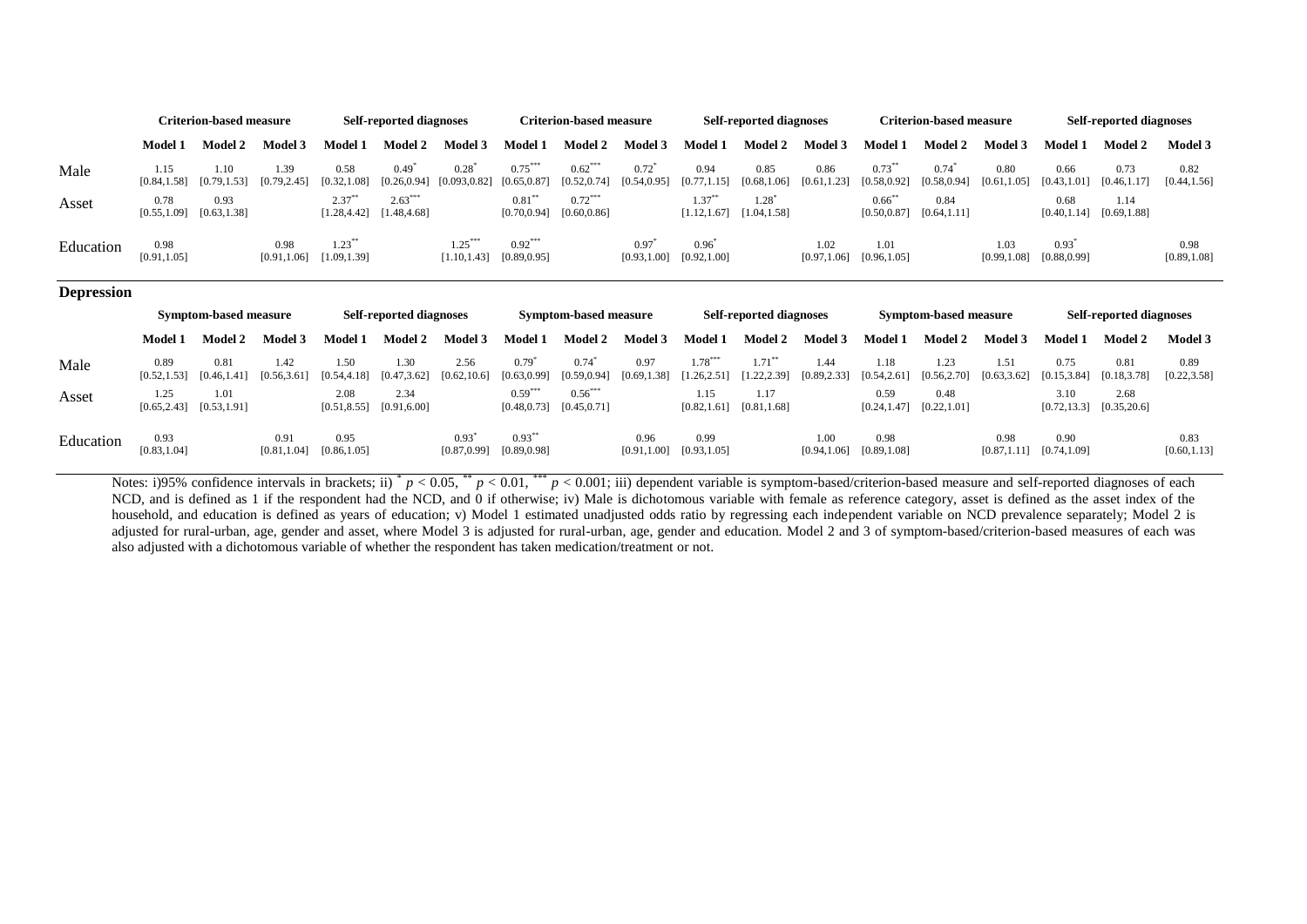|                   |                      | <b>Criterion-based measure</b> |                      |                           | <b>Self-reported diagnoses</b> |                           |                           | <b>Criterion-based measure</b> |                          |                           | <b>Self-reported diagnoses</b> |                      |                           | <b>Criterion-based measure</b> |                      |                         | <b>Self-reported diagnoses</b> |                      |
|-------------------|----------------------|--------------------------------|----------------------|---------------------------|--------------------------------|---------------------------|---------------------------|--------------------------------|--------------------------|---------------------------|--------------------------------|----------------------|---------------------------|--------------------------------|----------------------|-------------------------|--------------------------------|----------------------|
|                   | <b>Model 1</b>       | <b>Model 2</b>                 | <b>Model 3</b>       | <b>Model 1</b>            | <b>Model 2</b>                 | Model 3                   | Model 1                   | <b>Model 2</b>                 | Model 3                  | <b>Model 1</b>            | <b>Model 2</b>                 | Model 3              | <b>Model 1</b>            | <b>Model 2</b>                 | <b>Model 3</b>       | <b>Model 1</b>          | <b>Model 2</b>                 | <b>Model 3</b>       |
| Male              | 1.15<br>[0.84, 1.58] | 1.10<br>[0.79, 1.53]           | 1.39<br>[0.79, 2.45] | 0.58<br>[0.32, 1.08]      | $0.49^*$<br>[0.26, 0.94]       | $0.28^*$<br>[0.093, 0.82] | $0.75***$<br>[0.65, 0.87] | $0.62***$<br>[0.52, 0.74]      | $0.72^*$<br>[0.54, 0.95] | 0.94<br>[0.77, 1.15]      | 0.85<br>[0.68, 1.06]           | 0.86<br>[0.61, 1.23] | $0.73***$<br>[0.58, 0.92] | $0.74*$<br>[0.58, 0.94]        | 0.80<br>[0.61, 1.05] | 0.66<br>[0.43, 1.01]    | 0.73<br>[0.46, 1.17]           | 0.82<br>[0.44, 1.56] |
| Asset             | 0.78<br>[0.55, 1.09] | 0.93<br>[0.63, 1.38]           |                      | $2.37***$<br>[1.28, 4.42] | $2.63***$<br>[1.48, 4.68]      |                           | $0.81***$<br>[0.70, 0.94] | $0.72***$<br>[0.60, 0.86]      |                          | $1.37***$<br>[1.12, 1.67] | $1.28^*$<br>[1.04, 1.58]       |                      | $0.66$ **<br>[0.50, 0.87] | 0.84<br>[0.64, 1.11]           |                      | 0.68<br>[0.40, 1.14]    | 1.14<br>[0.69, 1.88]           |                      |
| Education         | 0.98<br>[0.91, 1.05] |                                | 0.98<br>[0.91, 1.06] | $1.23***$<br>[1.09, 1.39] |                                | $1.25***$<br>[1.10, 1.43] | $0.92***$<br>[0.89, 0.95] |                                | 0.97<br>[0.93, 1.00]     | $0.96^*$<br>[0.92, 1.00]  |                                | 1.02<br>[0.97, 1.06] | 1.01<br>[0.96, 1.05]      |                                | 1.03<br>[0.99, 1.08] | $0.93*$<br>[0.88, 0.99] |                                | 0.98<br>[0.89, 1.08] |
| <b>Depression</b> |                      |                                |                      |                           |                                |                           |                           |                                |                          |                           |                                |                      |                           |                                |                      |                         |                                |                      |
|                   |                      |                                |                      |                           |                                |                           |                           |                                |                          |                           |                                |                      |                           |                                |                      |                         |                                |                      |
|                   |                      | Symptom-based measure          |                      |                           | <b>Self-reported diagnoses</b> |                           |                           | Symptom-based measure          |                          |                           | <b>Self-reported diagnoses</b> |                      |                           | <b>Symptom-based measure</b>   |                      |                         | <b>Self-reported diagnoses</b> |                      |
|                   | <b>Model 1</b>       | <b>Model 2</b>                 | <b>Model 3</b>       | Model 1                   | <b>Model 2</b>                 | Model 3                   | <b>Model 1</b>            | <b>Model 2</b>                 | <b>Model 3</b>           | <b>Model 1</b>            | <b>Model 2</b>                 | <b>Model 3</b>       | <b>Model 1</b>            | <b>Model 2</b>                 | Model 3              | <b>Model 1</b>          | <b>Model 2</b>                 | Model 3              |
| Male              | 0.89<br>[0.52, 1.53] | 0.81<br>[0.46, 1.41]           | 1.42<br>[0.56, 3.61] | 1.50<br>[0.54, 4.18]      | 1.30<br>[0.47, 3.62]           | 2.56<br>[0.62, 10.6]      | $0.79*$<br>[0.63, 0.99]   | $0.74*$<br>[0.59, 0.94]        | 0.97<br>[0.69, 1.38]     | $1.78***$<br>[1.26, 2.51] | $1.71***$<br>[1.22, 2.39]      | 1.44<br>[0.89, 2.33] | 1.18<br>[0.54, 2.61]      | 1.23<br>[0.56, 2.70]           | 1.51<br>[0.63, 3.62] | 0.75<br>[0.15, 3.84]    | 0.81<br>[0.18, 3.78]           | 0.89<br>[0.22, 3.58] |
| Asset             | 1.25<br>[0.65, 2.43] | 1.01<br>[0.53, 1.91]           |                      | 2.08<br>[0.51, 8.55]      | 2.34<br>[0.91, 6.00]           |                           | $0.59***$<br>[0.48, 0.73] | $0.56***$<br>[0.45, 0.71]      |                          | 1.15<br>[0.82, 1.61]      | 1.17<br>[0.81, 1.68]           |                      | 0.59<br>[0.24, 1.47]      | 0.48<br>[0.22, 1.01]           |                      | 3.10<br>[0.72, 13.3]    | 2.68<br>[0.35, 20.6]           |                      |

Notes: i)95% confidence intervals in brackets; ii)  $p < 0.05$ ,  $p < 0.01$ ,  $p < 0.001$ ; iii) dependent variable is symptom-based/criterion-based measure and self-reported diagnoses of each NCD, and is defined as 1 if the respondent had the NCD, and 0 if otherwise; iv) Male is dichotomous variable with female as reference category, asset is defined as the asset index of the household, and education is defined as years of education; v) Model 1 estimated unadjusted odds ratio by regressing each independent variable on NCD prevalence separately; Model 2 is adjusted for rural-urban, age, gender and asset, where Model 3 is adjusted for rural-urban, age, gender and education. Model 2 and 3 of symptom-based/criterion-based measures of each was also adjusted with a dichotomous variable of whether the respondent has taken medication/treatment or not.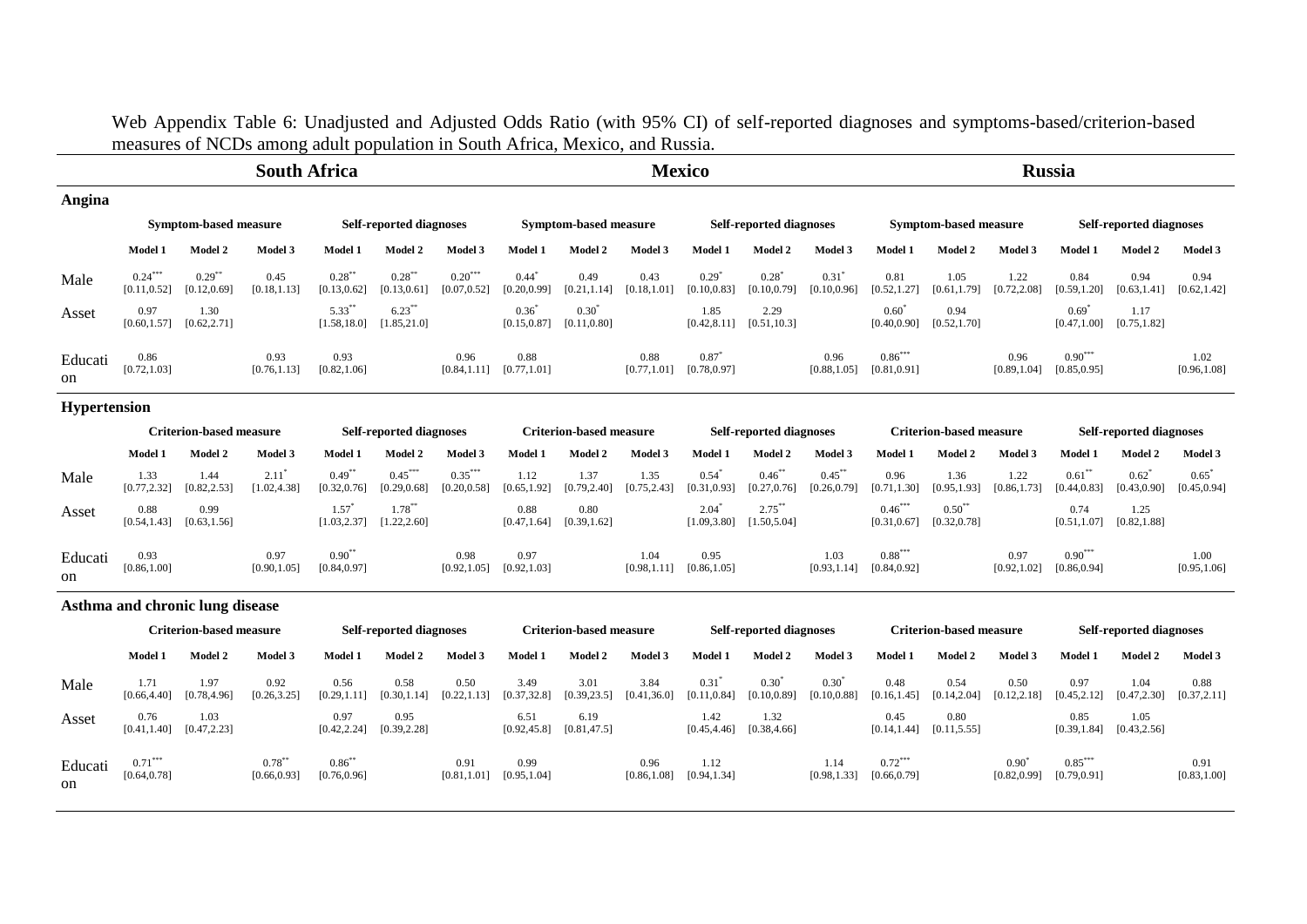Web Appendix Table 6: Unadjusted and Adjusted Odds Ratio (with 95% CI) of self-reported diagnoses and symptoms-based/criterion-based measures of NCDs among adult population in South Africa, Mexico, and Russia.

|               |                                                                              |                                                            | <b>South Africa</b>  |                           |                                |                           |                      |                              |                      | <b>Mexico</b>        |                                |                          |                           |                       |                      | <b>Russia</b>                  |                                |                      |
|---------------|------------------------------------------------------------------------------|------------------------------------------------------------|----------------------|---------------------------|--------------------------------|---------------------------|----------------------|------------------------------|----------------------|----------------------|--------------------------------|--------------------------|---------------------------|-----------------------|----------------------|--------------------------------|--------------------------------|----------------------|
| Angina        |                                                                              |                                                            |                      |                           |                                |                           |                      |                              |                      |                      |                                |                          |                           |                       |                      |                                |                                |                      |
|               |                                                                              | <b>Symptom-based measure</b>                               |                      |                           | <b>Self-reported diagnoses</b> |                           |                      | <b>Symptom-based measure</b> |                      |                      | <b>Self-reported diagnoses</b> |                          |                           | Symptom-based measure |                      |                                | <b>Self-reported diagnoses</b> |                      |
|               | Model 1                                                                      | Model 3<br>Model 1<br>Model 3<br>Model 2<br><b>Model 2</b> |                      |                           |                                |                           | Model 1              | Model 2                      | Model 3              | Model 1              | Model 2                        | Model 3                  | Model 1                   | Model 2               | Model 3              | Model 1                        | Model 2                        | Model 3              |
| Male          | $0.24***$<br>[0.11, 0.52]                                                    | $0.29***$<br>[0.12, 0.69]                                  | 0.45<br>[0.18, 1.13] | $0.28***$<br>[0.13, 0.62] | $0.28***$<br>[0.13, 0.61]      | $0.20***$<br>[0.07, 0.52] | 0.44<br>0.20, 0.99   | 0.49<br>[0.21, 1.14]         | 0.43<br>[0.18, 1.01] | 0.29<br>[0.10, 0.83] | $0.28^*$<br>[0.10, 0.79]       | $0.31^*$<br>[0.10, 0.96] | 0.81<br>[0.52, 1.27]      | 1.05<br>[0.61, 1.79]  | 1.22<br>[0.72, 2.08] | 0.84<br>[0.59, 1.20]           | 0.94<br>[0.63, 1.41]           | 0.94<br>[0.62, 1.42] |
| Asset         | 0.97<br>[0.60, 1.57]                                                         | 1.30<br>[0.62, 2.71]                                       |                      | $5.33***$<br>[1.58, 18.0] | $6.23***$<br>[1.85, 21.0]      |                           | 0.36<br>[0.15, 0.87] | $0.30^{*}$<br>[0.11, 0.80]   |                      | 1.85<br>[0.42, 8.11] | 2.29<br>[0.51, 10.3]           |                          | $0.60^*$<br>[0.40, 0.90]  | 0.94<br>[0.52, 1.70]  |                      | $0.69^{\circ}$<br>[0.47, 1.00] | 1.17<br>[0.75, 1.82]           |                      |
| Educati<br>on | 0.86<br>0.93<br>0.93<br>0.96<br>[0.72, 1.03]<br>[0.82, 1.06]<br>[0.76, 1.13] |                                                            |                      |                           |                                | [0.84, 1.11]              | 0.88<br>[0.77, 1.01] |                              | 0.88<br>[0.77, 1.01] | 0.87<br>[0.78, 0.97] |                                | 0.96<br>[0.88, 1.05]     | $0.86***$<br>[0.81, 0.91] |                       | 0.96<br>[0.89, 1.04] | $0.90***$<br>[0.85, 0.95]      |                                | 1.02<br>[0.96, 1.08] |

## **Hypertension**

|               |                      | Criterion-based measure |                      |                           | <b>Self-reported diagnoses</b> |                           |                      | <b>Criterion-based measure</b> |                      |                                       | <b>Self-reported diagnoses</b>             |                           |                           | <b>Criterion-based measure</b> |                      |                           | <b>Self-reported diagnoses</b> |                                       |
|---------------|----------------------|-------------------------|----------------------|---------------------------|--------------------------------|---------------------------|----------------------|--------------------------------|----------------------|---------------------------------------|--------------------------------------------|---------------------------|---------------------------|--------------------------------|----------------------|---------------------------|--------------------------------|---------------------------------------|
|               | Model 1              | Model 2                 | Model 3              | Model 1                   | <b>Model 2</b>                 | Model 3                   | Model 1              | Model 2                        | Model 3              | <b>Model 1</b>                        | Model 2                                    | Model 3                   | <b>Model 1</b>            | <b>Model 2</b>                 | Model 3              | <b>Model 1</b>            | Model 2                        | Model 3                               |
| Male          | 1.33<br>[0.77, 2.32] | 1.44<br>[0.82, 2.53]    | 2.11<br>[1.02, 4.38] | $0.49***$<br>[0.32, 0.76] | $0.45***$<br>[0.29, 0.68]      | $0.35***$<br>[0.20, 0.58] | 1.12<br>[0.65, 1.92] | 1.37<br>[0.79, 2.40]           | 1.35<br>[0.75, 2.43] | 0.54<br>[0.31, 0.93]                  | $0.46***$<br>[0.27, 0.76]                  | $0.45***$<br>[0.26, 0.79] | 0.96<br>[0.71, 1.30]      | 1.36<br>[0.95, 1.93]           | 1.22<br>[0.86, 1.73] | $0.61$ *<br>[0.44, 0.83]  | 0.62                           | 0.65<br>$[0.43, 0.90]$ $[0.45, 0.94]$ |
| Asset         | 0.88<br>[0.54, 1.43] | 0.99<br>[0.63, 1.56]    |                      | 1.57"<br>[1.03, 2.37]     | $1.78***$<br>[1.22, 2.60]      |                           | 0.88<br>[0.47, 1.64] | 0.80<br>[0.39, 1.62]           |                      | 2.04                                  | $2.75***$<br>$[1.09, 3.80]$ $[1.50, 5.04]$ |                           | $0.46***$<br>[0.31, 0.67] | $0.50^{**}$<br>[0.32, 0.78]    |                      | 0.74<br>[0.51, 1.07]      | 1.25<br>[0.82, 1.88]           |                                       |
| Educati<br>on | 0.93<br>[0.86, 1.00] |                         | 0.97<br>[0.90, 1.05] | $0.90***$<br>[0.84, 0.97] |                                | 0.98<br>[0.92, 1.05]      | 0.97<br>[0.92, 1.03] |                                | 1.04                 | 0.95<br>$[0.98, 1.11]$ $[0.86, 1.05]$ |                                            | 1.03<br>[0.93, 1.14]      | $0.88***$<br>[0.84, 0.92] |                                | 0.97<br>[0.92, 1.02] | $0.90***$<br>[0.86, 0.94] |                                | 1.00<br>[0.95, 1.06]                  |

# **Asthma and chronic lung disease**

|               |                           | Criterion-based measure |                           |                           | <b>Self-reported diagnoses</b> |                      |                      | <b>Criterion-based measure</b> |                      |                      | <b>Self-reported diagnoses</b> |                                |                           | <b>Criterion-based measure</b> |                      |                           | <b>Self-reported diagnoses</b> |                      |
|---------------|---------------------------|-------------------------|---------------------------|---------------------------|--------------------------------|----------------------|----------------------|--------------------------------|----------------------|----------------------|--------------------------------|--------------------------------|---------------------------|--------------------------------|----------------------|---------------------------|--------------------------------|----------------------|
|               | Model 1                   | Model 2                 | Model 3                   | <b>Model 1</b>            | <b>Model 2</b>                 | Model 3              | Model 1              | Model 2                        | Model 3              | Model 1              | <b>Model 2</b>                 | Model 3                        | Model 1                   | Model 2                        | Model 3              | Model 1                   | <b>Model 2</b>                 | Model 3              |
| Male          | 1.71<br>[0.66, 4.40]      | 1.97<br>[0.78, 4.96]    | 0.92<br>[0.26, 3.25]      | 0.56<br>[0.29, 1.11]      | 0.58<br>[0.30, 1.14]           | 0.50<br>[0.22, 1.13] | 3.49<br>[0.37, 32.8] | 3.01<br>[0.39, 23.5]           | 3.84<br>[0.41, 36.0] | 0.31<br>[0.11, 0.84] | $0.30^{\circ}$<br>[0.10, 0.89] | $0.30^{\circ}$<br>[0.10, 0.88] | 0.48<br>[0.16, 1.45]      | 0.54<br>[0.14, 2.04]           | 0.50<br>[0.12, 2.18] | 0.97<br>[0.45, 2.12]      | 1.04<br>[0.47, 2.30]           | 0.88<br>[0.37, 2.11] |
| Asset         | 0.76<br>[0.41, 1.40]      | 1.03<br>[0.47, 2.23]    |                           | 0.97<br>[0.42, 2.24]      | 0.95<br>[0.39, 2.28]           |                      | 6.51<br>[0.92, 45.8] | 6.19<br>[0.81, 47.5]           |                      | 1.42<br>[0.45, 4.46] | 1.32<br>[0.38, 4.66]           |                                | 0.45<br>[0.14, 1.44]      | 0.80<br>[0.11, 5.55]           |                      | 0.85<br>[0.39, 1.84]      | 1.05<br>[0.43, 2.56]           |                      |
| Educati<br>on | $0.71***$<br>[0.64, 0.78] |                         | $0.78***$<br>[0.66, 0.93] | $0.86***$<br>[0.76, 0.96] |                                | 0.91<br>[0.81, 1.01] | 0.99<br>[0.95, 1.04] |                                | 0.96<br>[0.86, 1.08] | 1.12<br>[0.94, 1.34] |                                | 1.14<br>[0.98, 1.33]           | $0.72***$<br>[0.66, 0.79] |                                | 0.90<br>[0.82, 0.99] | $0.85***$<br>[0.79, 0.91] |                                | 0.91<br>[0.83, 1.00] |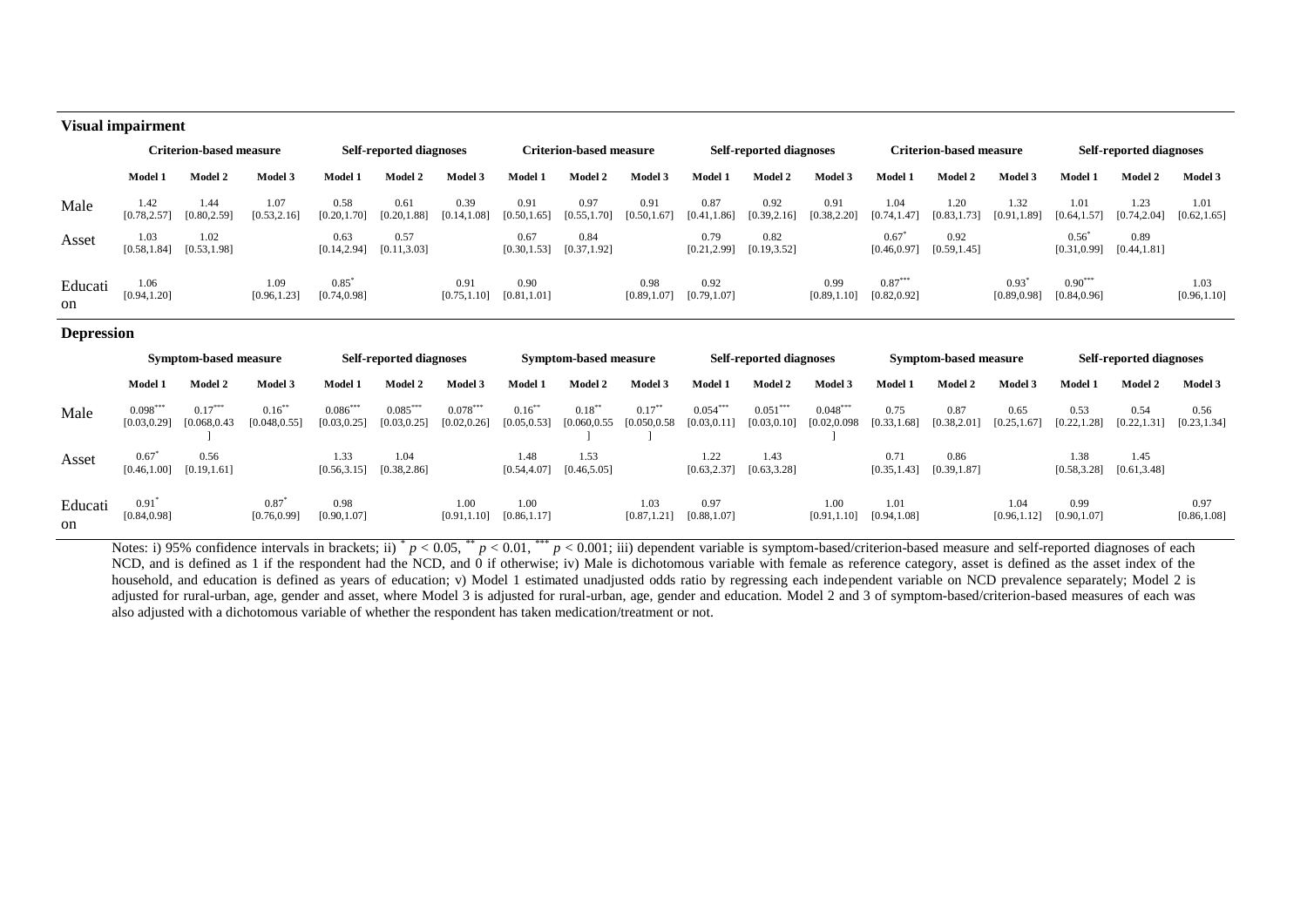### **Visual impairment**

|               | Criterion-based measure |                      |                      |                      | <b>Self-reported diagnoses</b> |                      |                      | <b>Criterion-based measure</b> |                      |                      | <b>Self-reported diagnoses</b> |                      |                           | <b>Criterion-based measure</b> | <b>Self-reported diagnoses</b> |                           |                      |                      |
|---------------|-------------------------|----------------------|----------------------|----------------------|--------------------------------|----------------------|----------------------|--------------------------------|----------------------|----------------------|--------------------------------|----------------------|---------------------------|--------------------------------|--------------------------------|---------------------------|----------------------|----------------------|
|               | Model 1                 | Model 2              | Model 3              | Model 1              | Model 2                        | Model 3              | <b>Model 1</b>       | Model 2                        | Model 3              | Model 1              | Model 2                        | Model 3              | Model 1                   | Model 2                        | Model 3                        | <b>Model 1</b>            | Model 2              | Model 3              |
| Male          | 1.42<br>[0.78, 2.57]    | 1.44<br>[0.80, 2.59] | 1.07<br>[0.53, 2.16] | 0.58<br>[0.20, 1.70] | 0.61<br>[0.20, 1.88]           | 0.39<br>[0.14, 1.08] | 0.91<br>[0.50, 1.65] | 0.97<br>[0.55, 1.70]           | 0.91<br>[0.50, 1.67] | 0.87<br>[0.41, 1.86] | 0.92<br>[0.39, 2.16]           | 0.91<br>[0.38, 2.20] | 1.04<br>[0.74, 1.47]      | 1.20<br>[0.83, 1.73]           | 1.32<br>[0.91, 1.89]           | 1.01<br>[0.64, 1.57]      | 1.23<br>[0.74, 2.04] | 1.01<br>[0.62, 1.65] |
| Asset         | 1.03<br>[0.58, 1.84]    | 1.02<br>[0.53, 1.98] |                      | 0.63<br>[0.14, 2.94] | 0.57<br>[0.11, 3.03]           |                      | 0.67<br>[0.30, 1.53] | 0.84<br>[0.37, 1.92]           |                      | 0.79<br>[0.21, 2.99] | 0.82<br>[0.19, 3.52]           |                      | 0.67<br>[0.46, 0.97]      | 0.92<br>[0.59, 1.45]           |                                | 0.56<br>[0.31, 0.99]      | 0.89<br>[0.44, 1.81] |                      |
| Educati<br>on | 1.06<br>[0.94, 1.20]    |                      | 1.09<br>[0.96, 1.23] | 0.85<br>[0.74, 0.98] |                                | 0.91<br>[0.75, 1.10] | 0.90<br>[0.81, 1.01] |                                | 0.98<br>[0.89, 1.07] | 0.92<br>[0.79, 1.07] |                                | 0.99<br>[0.89, 1.10] | $0.87***$<br>[0.82, 0.92] |                                | 0.93<br>[0.89, 0.98]           | $0.90***$<br>[0.84, 0.96] |                      | 1.03<br>[0.96, 1.10] |

### **Depression**

|                          |                            | <b>Symptom-based measure</b> |                            |                            | Self-reported diagnoses    |                            |                           | Symptom-based measure      |                            |                            | <b>Self-reported diagnoses</b> |                             |                      | Symptom-based measure                 |                      |                      | <b>Self-reported diagnoses</b> |                      |
|--------------------------|----------------------------|------------------------------|----------------------------|----------------------------|----------------------------|----------------------------|---------------------------|----------------------------|----------------------------|----------------------------|--------------------------------|-----------------------------|----------------------|---------------------------------------|----------------------|----------------------|--------------------------------|----------------------|
|                          | <b>Model 1</b>             | Model 2                      | Model 3                    | Model 1                    | Model 2                    | Model 3                    | Model 1                   | <b>Model 2</b>             | Model 3                    | Model 1                    | <b>Model 2</b>                 | Model 3                     | <b>Model 1</b>       | Model 2                               | Model 3              | Model 1              | Model 2                        | Model 3              |
| Male                     | $0.098***$<br>[0.03, 0.29] | $0.17***$<br>[0.068, 0.43]   | $0.16***$<br>[0.048, 0.55] | $0.086***$<br>[0.03, 0.25] | $0.085***$<br>[0.03, 0.25] | $0.078***$<br>[0.02, 0.26] | $0.16***$<br>[0.05, 0.53] | $0.18***$<br>[0.060, 0.55] | $0.17***$<br>[0.050, 0.58] | $0.054***$<br>[0.03, 0.11] | $0.051***$<br>[0.03, 0.10]     | $0.048***$<br>[0.02, 0.098] | 0.75<br>[0.33, 1.68] | 0.87<br>[0.38, 2.01]                  | 0.65<br>[0.25, 1.67] | 0.53<br>[0.22, 1.28] | 0.54<br>[0.22, 1.31]           | 0.56<br>[0.23, 1.34] |
| Asset                    | 0.67<br>[0.46, 1.00]       | 0.56<br>[0.19, 1.61]         |                            | 1.33<br>[0.56, 3.15]       | 1.04<br>[0.38, 2.86]       |                            | 1.48<br>[0.54, 4.07]      | 1.53<br>[0.46, 5.05]       |                            | 1.22<br>[0.63, 2.37]       | 1.43<br>[0.63, 3.28]           |                             | 0.71                 | 0.86<br>$[0.35, 1.43]$ $[0.39, 1.87]$ |                      | 1.38<br>[0.58, 3.28] | 1.45<br>[0.61, 3.48]           |                      |
| Educati<br><sub>on</sub> | 0.91<br>[0.84, 0.98]       |                              | 0.87<br>[0.76, 0.99]       | 0.98<br>[0.90, 1.07]       |                            | 1.00<br>[0.91, 1.10]       | 1.00<br>[0.86, 1.17]      |                            | 1.03<br>[0.87, 1.21]       | 0.97<br>[0.88, 1.07]       |                                | 1.00<br>[0.91, 1.10]        | 1.01<br>[0.94, 1.08] |                                       | 1.04<br>[0.96, 1.12] | 0.99<br>[0.90, 1.07] |                                | 0.97<br>[0.86, 1.08] |

Notes: i) 95% confidence intervals in brackets; ii)  $p < 0.05$ ,  $p < 0.01$ ,  $p < 0.001$ ; iii) dependent variable is symptom-based/criterion-based measure and self-reported diagnoses of each NCD, and is defined as 1 if the respondent had the NCD, and 0 if otherwise; iv) Male is dichotomous variable with female as reference category, asset is defined as the asset index of the household, and education is defined as years of education; v) Model 1 estimated unadjusted odds ratio by regressing each independent variable on NCD prevalence separately; Model 2 is adjusted for rural-urban, age, gender and asset, where Model 3 is adjusted for rural-urban, age, gender and education. Model 2 and 3 of symptom-based/criterion-based measures of each was also adjusted with a dichotomous variable of whether the respondent has taken medication/treatment or not.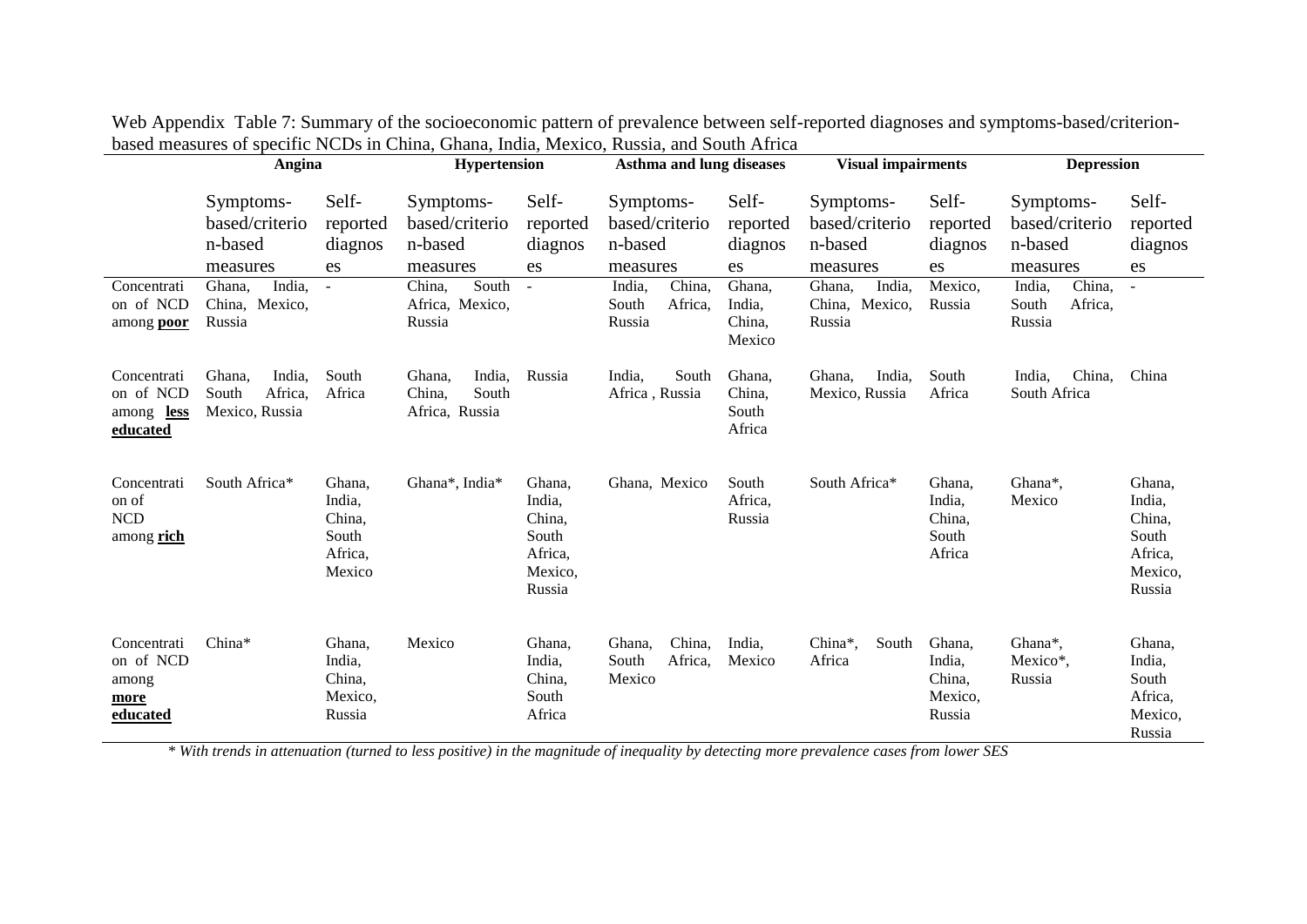|                                                           | Angina                                                 |                                                          | Hypertension                                          |                                                                     | <b>Asthma and lung diseases</b>                    |                                      | <b>Visual impairments</b>                          |                                                 | <b>Depression</b>                                  |                                                                     |
|-----------------------------------------------------------|--------------------------------------------------------|----------------------------------------------------------|-------------------------------------------------------|---------------------------------------------------------------------|----------------------------------------------------|--------------------------------------|----------------------------------------------------|-------------------------------------------------|----------------------------------------------------|---------------------------------------------------------------------|
|                                                           | Symptoms-<br>based/criterio<br>n-based<br>measures     | Self-<br>reported<br>diagnos<br>es                       | Symptoms-<br>based/criterio<br>n-based<br>measures    | Self-<br>reported<br>diagnos<br>es                                  | Symptoms-<br>based/criterio<br>n-based<br>measures | Self-<br>reported<br>diagnos<br>es   | Symptoms-<br>based/criterio<br>n-based<br>measures | Self-<br>reported<br>diagnos<br>es              | Symptoms-<br>based/criterio<br>n-based<br>measures | Self-<br>reported<br>diagnos<br>es                                  |
| Concentrati<br>on of NCD<br>among <b>poor</b>             | India,<br>Ghana,<br>China, Mexico,<br>Russia           | $\blacksquare$                                           | South<br>China,<br>Africa, Mexico,<br>Russia          |                                                                     | India,<br>China,<br>Africa,<br>South<br>Russia     | Ghana,<br>India,<br>China,<br>Mexico | Ghana,<br>India,<br>Mexico,<br>China,<br>Russia    | Mexico,<br>Russia                               | India,<br>China,<br>South<br>Africa,<br>Russia     | $\blacksquare$                                                      |
| Concentrati<br>on of NCD<br>among less<br><u>educated</u> | India,<br>Ghana.<br>South<br>Africa,<br>Mexico, Russia | South<br>Africa                                          | India,<br>Ghana,<br>South<br>China,<br>Africa, Russia | Russia                                                              | India,<br>South<br>Africa, Russia                  | Ghana,<br>China,<br>South<br>Africa  | Ghana,<br>India,<br>Mexico, Russia                 | South<br>Africa                                 | India,<br>China,<br>South Africa                   | China                                                               |
| Concentrati<br>on of<br><b>NCD</b><br>among rich          | South Africa*                                          | Ghana,<br>India,<br>China,<br>South<br>Africa,<br>Mexico | Ghana*, India*                                        | Ghana.<br>India,<br>China,<br>South<br>Africa,<br>Mexico,<br>Russia | Ghana, Mexico                                      | South<br>Africa,<br>Russia           | South Africa*                                      | Ghana,<br>India,<br>China,<br>South<br>Africa   | Ghana*,<br>Mexico                                  | Ghana,<br>India,<br>China,<br>South<br>Africa,<br>Mexico,<br>Russia |
| Concentrati<br>on of NCD<br>among<br>more<br>educated     | China*                                                 | Ghana,<br>India,<br>China,<br>Mexico,<br>Russia          | Mexico                                                | Ghana,<br>India,<br>China,<br>South<br>Africa                       | China,<br>Ghana,<br>Africa,<br>South<br>Mexico     | India,<br>Mexico                     | China*,<br>South<br>Africa                         | Ghana,<br>India,<br>China,<br>Mexico,<br>Russia | Ghana*,<br>Mexico*,<br>Russia                      | Ghana,<br>India,<br>South<br>Africa,<br>Mexico,<br>Russia           |

| Web Appendix Table 7: Summary of the socioeconomic pattern of prevalence between self-reported diagnoses and symptoms-based/criterion- |  |
|----------------------------------------------------------------------------------------------------------------------------------------|--|
| based measures of specific NCDs in China, Ghana, India, Mexico, Russia, and South Africa                                               |  |

*\* With trends in attenuation (turned to less positive) in the magnitude of inequality by detecting more prevalence cases from lower SES*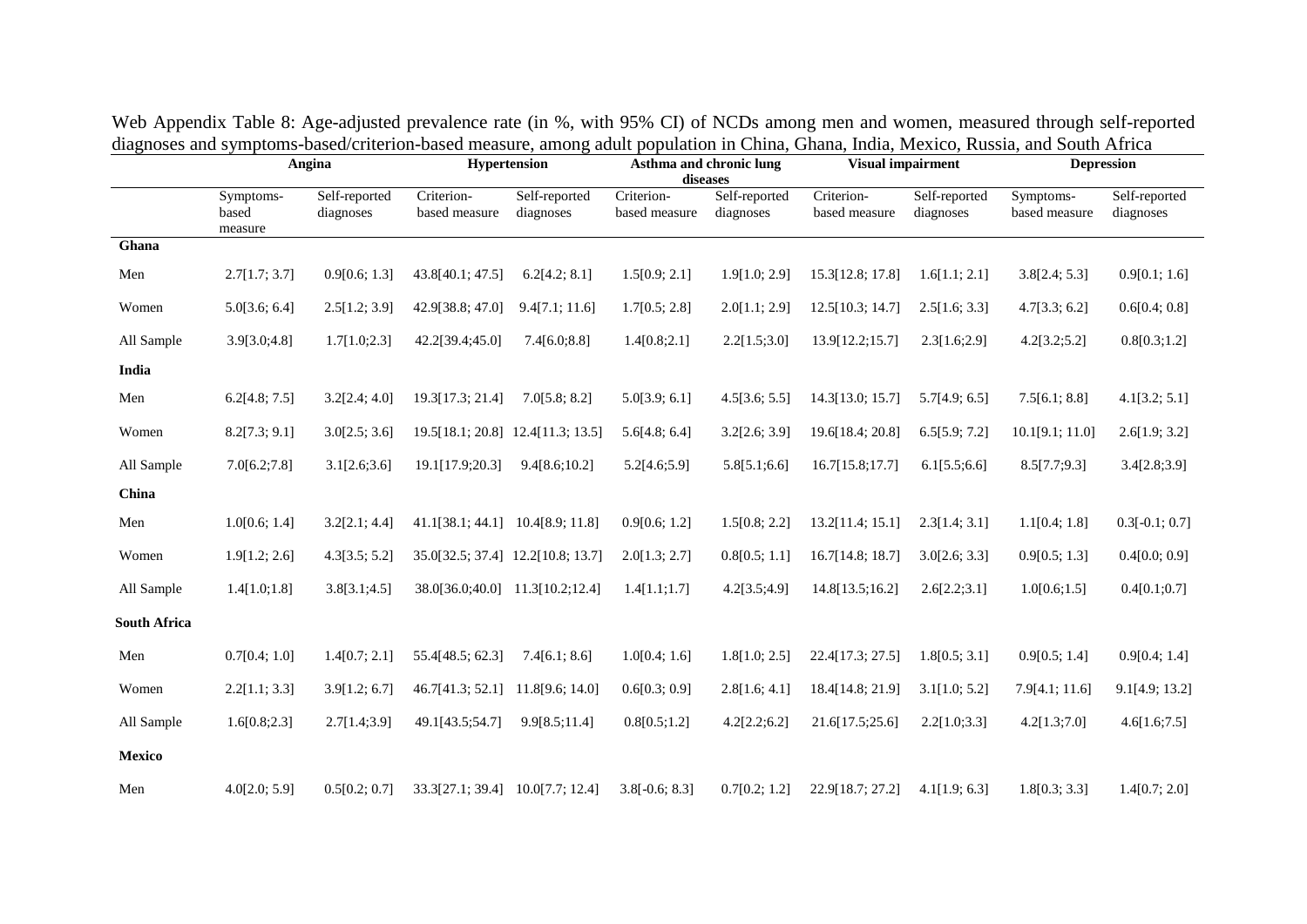|                     | Angina                        |                            |                                   | <b>Hypertension</b>        | diseases                    | Asthma and chronic lung    | <b>Visual impairment</b>    |                            |                            | <b>Depression</b>          |
|---------------------|-------------------------------|----------------------------|-----------------------------------|----------------------------|-----------------------------|----------------------------|-----------------------------|----------------------------|----------------------------|----------------------------|
|                     | Symptoms-<br>based<br>measure | Self-reported<br>diagnoses | Criterion-<br>based measure       | Self-reported<br>diagnoses | Criterion-<br>based measure | Self-reported<br>diagnoses | Criterion-<br>based measure | Self-reported<br>diagnoses | Symptoms-<br>based measure | Self-reported<br>diagnoses |
| Ghana               |                               |                            |                                   |                            |                             |                            |                             |                            |                            |                            |
| Men                 | 2.7[1.7; 3.7]                 | 0.9[0.6; 1.3]              | 43.8[40.1; 47.5]                  | 6.2[4.2; 8.1]              | 1.5[0.9; 2.1]               | 1.9[1.0; 2.9]              | 15.3[12.8; 17.8]            | 1.6[1.1; 2.1]              | 3.8[2.4; 5.3]              | 0.9[0.1; 1.6]              |
| Women               | 5.0[3.6; 6.4]                 | 2.5[1.2; 3.9]              | 42.9[38.8; 47.0]                  | 9.4[7.1; 11.6]             | 1.7[0.5; 2.8]               | 2.0[1.1; 2.9]              | 12.5[10.3; 14.7]            | 2.5[1.6; 3.3]              | 4.7[3.3; 6.2]              | 0.6[0.4; 0.8]              |
| All Sample          | 3.9[3.0;4.8]                  | 1.7[1.0;2.3]               | 42.2[39.4;45.0]                   | 7.4[6.0;8.8]               | 1.4[0.8;2.1]                | 2.2[1.5;3.0]               | 13.9[12.2;15.7]             | 2.3[1.6;2.9]               | 4.2[3.2;5.2]               | 0.8[0.3;1.2]               |
| India               |                               |                            |                                   |                            |                             |                            |                             |                            |                            |                            |
| Men                 | 6.2[4.8; 7.5]                 | 3.2[2.4; 4.0]              | 19.3[17.3; 21.4]                  | 7.0[5.8; 8.2]              | 5.0[3.9; 6.1]               | 4.5[3.6; 5.5]              | 14.3[13.0; 15.7]            | 5.7[4.9; 6.5]              | 7.5[6.1; 8.8]              | 4.1[3.2; 5.1]              |
| Women               | 8.2[7.3; 9.1]                 | 3.0[2.5; 3.6]              | 19.5[18.1; 20.8] 12.4[11.3; 13.5] |                            | 5.6[4.8; 6.4]               | 3.2[2.6; 3.9]              | 19.6[18.4; 20.8]            | 6.5[5.9; 7.2]              | 10.1[9.1; 11.0]            | 2.6[1.9; 3.2]              |
| All Sample          | 7.0[6.2;7.8]                  | 3.1[2.6;3.6]               | 19.1[17.9;20.3]                   | 9.4[8.6;10.2]              | 5.2[4.6;5.9]                | 5.8[5.1;6.6]               | 16.7[15.8;17.7]             | 6.1[5.5;6.6]               | 8.5[7.7;9.3]               | 3.4[2.8;3.9]               |
| China               |                               |                            |                                   |                            |                             |                            |                             |                            |                            |                            |
| Men                 | 1.0[0.6; 1.4]                 | 3.2[2.1; 4.4]              | 41.1[38.1; 44.1]                  | 10.4[8.9; 11.8]            | 0.9[0.6; 1.2]               | 1.5[0.8; 2.2]              | 13.2[11.4; 15.1]            | 2.3[1.4; 3.1]              | 1.1[0.4; 1.8]              | $0.3[-0.1; 0.7]$           |
| Women               | 1.9[1.2; 2.6]                 | 4.3[3.5; 5.2]              | 35.0[32.5; 37.4] 12.2[10.8; 13.7] |                            | 2.0[1.3; 2.7]               | 0.8[0.5; 1.1]              | 16.7[14.8; 18.7]            | 3.0[2.6; 3.3]              | 0.9[0.5; 1.3]              | 0.4[0.0; 0.9]              |
| All Sample          | 1.4[1.0;1.8]                  | 3.8[3.1;4.5]               | 38.0[36.0;40.0]                   | 11.3[10.2;12.4]            | 1.4[1.1;1.7]                | 4.2[3.5;4.9]               | 14.8[13.5;16.2]             | 2.6[2.2;3.1]               | 1.0[0.6;1.5]               | 0.4[0.1;0.7]               |
| <b>South Africa</b> |                               |                            |                                   |                            |                             |                            |                             |                            |                            |                            |
| Men                 | 0.7[0.4; 1.0]                 | 1.4[0.7; 2.1]              | 55.4[48.5; 62.3]                  | 7.4[6.1; 8.6]              | 1.0[0.4; 1.6]               | 1.8[1.0; 2.5]              | 22.4[17.3; 27.5]            | 1.8[0.5; 3.1]              | 0.9[0.5; 1.4]              | 0.9[0.4; 1.4]              |
| Women               | 2.2[1.1; 3.3]                 | 3.9[1.2; 6.7]              | 46.7[41.3; 52.1]                  | 11.8[9.6; 14.0]            | 0.6[0.3; 0.9]               | 2.8[1.6; 4.1]              | 18.4[14.8; 21.9]            | 3.1[1.0; 5.2]              | 7.9[4.1; 11.6]             | 9.1[4.9; 13.2]             |
| All Sample          | 1.6[0.8;2.3]                  | 2.7[1.4;3.9]               | 49.1[43.5;54.7]                   | 9.9[8.5;11.4]              | 0.8[0.5;1.2]                | 4.2[2.2;6.2]               | 21.6[17.5;25.6]             | 2.2[1.0;3.3]               | 4.2[1.3;7.0]               | 4.6[1.6;7.5]               |
| <b>Mexico</b>       |                               |                            |                                   |                            |                             |                            |                             |                            |                            |                            |
| Men                 | 4.0[2.0; 5.9]                 | 0.5[0.2; 0.7]              | 33.3[27.1; 39.4]                  | 10.0[7.7; 12.4]            | $3.8[-0.6; 8.3]$            | 0.7[0.2; 1.2]              | 22.9[18.7; 27.2]            | 4.1[1.9; 6.3]              | 1.8[0.3; 3.3]              | 1.4[0.7; 2.0]              |

Web Appendix Table 8: Age-adjusted prevalence rate (in %, with 95% CI) of NCDs among men and women, measured through self-reported diagnoses and symptoms-based/criterion-based measure, among adult population in China, Ghana, India, Mexico, Russia, and South Africa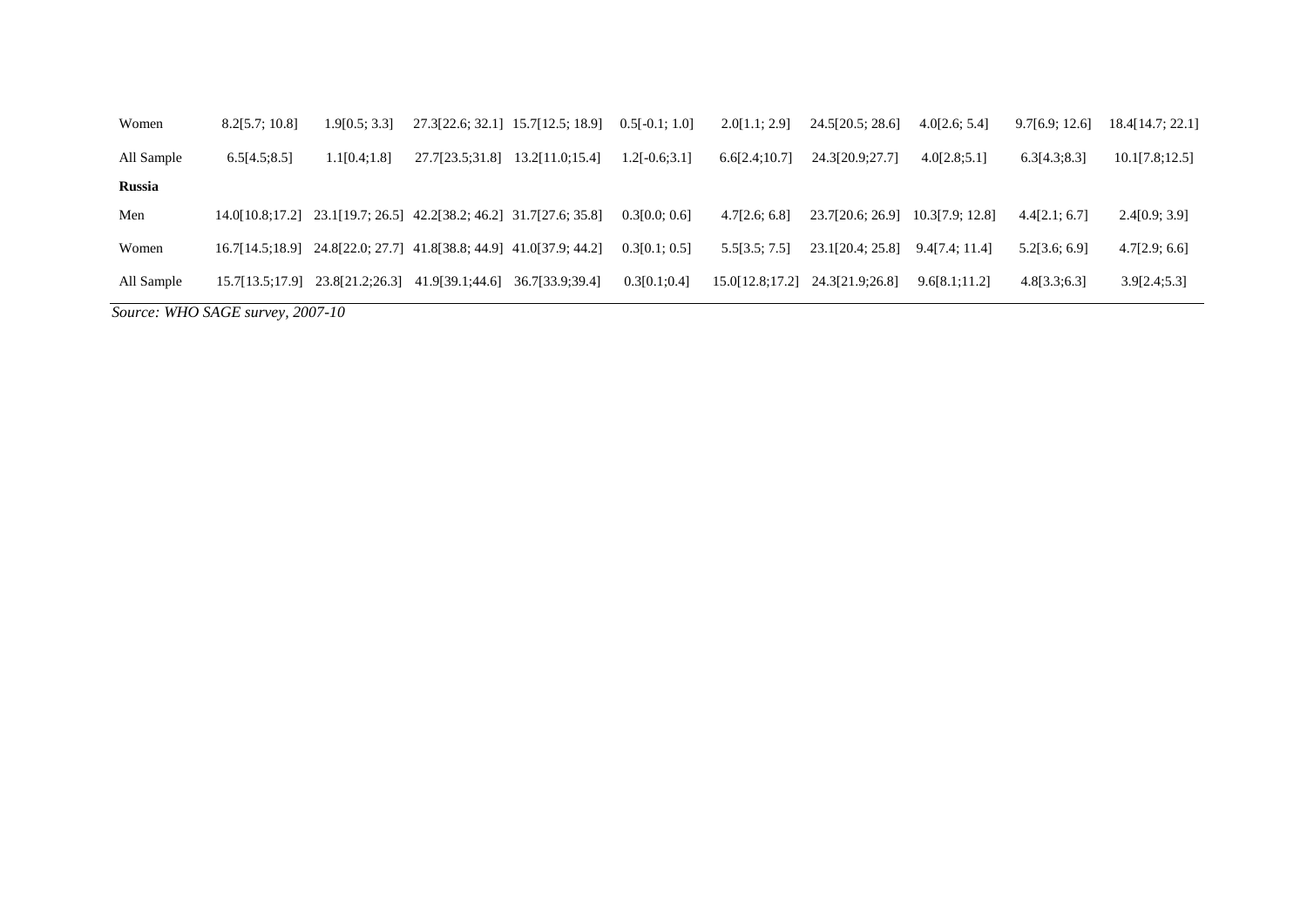| Women         | 8.2[5.7; 10.8]  | 1.9[0.5; 3.3]                                                              | 27.3[22.6; 32.1] 15.7[12.5; 18.9] |                 | $0.5[-0.1; 1.0]$ | 2.0[1.1; 2.9]   | 24.5[20.5; 28.6]                 | 4.0[2.6; 5.4]  | 9.7[6.9; 12.6] | 18.4[14.7; 22.1] |
|---------------|-----------------|----------------------------------------------------------------------------|-----------------------------------|-----------------|------------------|-----------------|----------------------------------|----------------|----------------|------------------|
| All Sample    | 6.5[4.5;8.5]    | 1.1[0.4;1.8]                                                               | 27.7[23.5:31.8]                   | 13.2[11.0;15.4] | $1.2[-0.6;3.1]$  | 6.6[2.4;10.7]   | 24.3[20.9;27.7]                  | 4.0[2.8:5.1]   | 6.3[4.3:8.3]   | 10.1[7.8;12.5]   |
| <b>Russia</b> |                 |                                                                            |                                   |                 |                  |                 |                                  |                |                |                  |
| Men           |                 | 14.0[10.8;17.2] 23.1[19.7; 26.5] 42.2[38.2; 46.2] 31.7[27.6; 35.8]         |                                   |                 | 0.3[0.0; 0.6]    | 4.7[2.6; 6.8]   | 23.7[20.6; 26.9] 10.3[7.9; 12.8] |                | 4.4[2.1; 6.7]  | 2.4[0.9; 3.9]    |
| Women         |                 | $16.7[14.5;18.9]$ $24.8[22.0; 27.7]$ $41.8[38.8; 44.9]$ $41.0[37.9; 44.2]$ |                                   |                 | 0.3[0.1; 0.5]    | 5.5[3.5; 7.5]   | 23.1[20.4; 25.8]                 | 9.4[7.4; 11.4] | 5.2[3.6; 6.9]  | 4.7[2.9; 6.6]    |
| All Sample    | 15.7[13.5;17.9] | 23.8[21.2;26.3]                                                            | 41.9[39.1;44.6] 36.7[33.9;39.4]   |                 | 0.3[0.1;0.4]     | 15.0[12.8;17.2] | 24.3[21.9;26.8]                  | 9.6[8.1;11.2]  | 4.8[3.3;6.3]   | 3.9[2.4;5.3]     |
|               |                 |                                                                            |                                   |                 |                  |                 |                                  |                |                |                  |

*Source: WHO SAGE survey, 2007-10*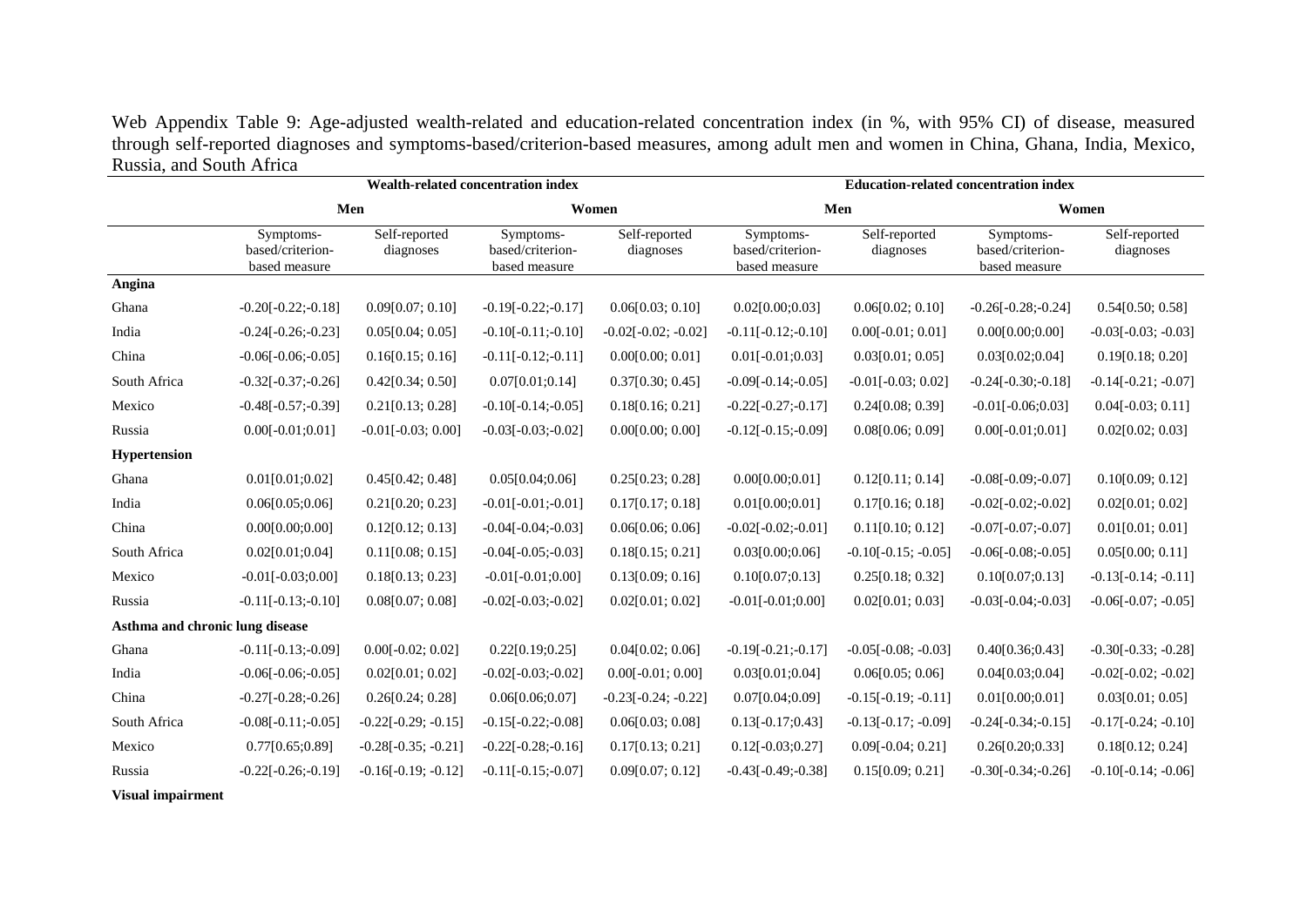Web Appendix Table 9: Age-adjusted wealth-related and education-related concentration index (in %, with 95% CI) of disease, measured through self-reported diagnoses and symptoms-based/criterion-based measures, among adult men and women in China, Ghana, India, Mexico, Russia, and South Africa

|                                 |                                                | Wealth-related concentration index |                                                |                            |                                                | <b>Education-related concentration index</b> |                                                |                            |
|---------------------------------|------------------------------------------------|------------------------------------|------------------------------------------------|----------------------------|------------------------------------------------|----------------------------------------------|------------------------------------------------|----------------------------|
|                                 | Men                                            |                                    |                                                | Women                      | Men                                            |                                              | Women                                          |                            |
|                                 | Symptoms-<br>based/criterion-<br>based measure | Self-reported<br>diagnoses         | Symptoms-<br>based/criterion-<br>based measure | Self-reported<br>diagnoses | Symptoms-<br>based/criterion-<br>based measure | Self-reported<br>diagnoses                   | Symptoms-<br>based/criterion-<br>based measure | Self-reported<br>diagnoses |
| Angina                          |                                                |                                    |                                                |                            |                                                |                                              |                                                |                            |
| Ghana                           | $-0.20[-0.22; -0.18]$                          | 0.09[0.07; 0.10]                   | $-0.19[-0.22; -0.17]$                          | 0.06[0.03; 0.10]           | 0.02[0.00;0.03]                                | 0.06[0.02; 0.10]                             | $-0.26[-0.28; -0.24]$                          | 0.54[0.50; 0.58]           |
| India                           | $-0.24[-0.26; -0.23]$                          | 0.05[0.04; 0.05]                   | $-0.10[-0.11; -0.10]$                          | $-0.02[-0.02; -0.02]$      | $-0.11[-0.12; -0.10]$                          | $0.00[-0.01; 0.01]$                          | 0.00[0.00;0.00]                                | $-0.03[-0.03; -0.03]$      |
| China                           | $-0.06[-0.06; -0.05]$                          | 0.16[0.15; 0.16]                   | $-0.11[-0.12; -0.11]$                          | 0.00[0.00; 0.01]           | $0.01[-0.01;0.03]$                             | 0.03[0.01; 0.05]                             | 0.03[0.02;0.04]                                | 0.19[0.18; 0.20]           |
| South Africa                    | $-0.32[-0.37; -0.26]$                          | 0.42[0.34; 0.50]                   | 0.07[0.01;0.14]                                | 0.37[0.30; 0.45]           | $-0.09[-0.14; -0.05]$                          | $-0.01[-0.03; 0.02]$                         | $-0.24[-0.30; -0.18]$                          | $-0.14[-0.21; -0.07]$      |
| Mexico                          | $-0.48[-0.57; -0.39]$                          | 0.21[0.13; 0.28]                   | $-0.10[-0.14; -0.05]$                          | 0.18[0.16; 0.21]           | $-0.22[-0.27; -0.17]$                          | 0.24[0.08; 0.39]                             | $-0.01[-0.06;0.03]$                            | $0.04[-0.03; 0.11]$        |
| Russia                          | $0.00[-0.01;0.01]$                             | $-0.01[-0.03; 0.00]$               | $-0.03[-0.03; -0.02]$                          | 0.00[0.00; 0.00]           | $-0.12[-0.15; -0.09]$                          | 0.08[0.06; 0.09]                             | $0.00[-0.01;0.01]$                             | 0.02[0.02; 0.03]           |
| Hypertension                    |                                                |                                    |                                                |                            |                                                |                                              |                                                |                            |
| Ghana                           | 0.01[0.01;0.02]                                | 0.45[0.42; 0.48]                   | 0.05[0.04;0.06]                                | 0.25[0.23; 0.28]           | 0.00[0.00;0.01]                                | 0.12[0.11; 0.14]                             | $-0.08[-0.09; -0.07]$                          | 0.10[0.09; 0.12]           |
| India                           | 0.06[0.05;0.06]                                | 0.21[0.20; 0.23]                   | $-0.01[-0.01; -0.01]$                          | 0.17[0.17; 0.18]           | 0.01[0.00;0.01]                                | 0.17[0.16; 0.18]                             | $-0.02[-0.02; -0.02]$                          | 0.02[0.01; 0.02]           |
| China                           | 0.00[0.00;0.00]                                | 0.12[0.12; 0.13]                   | $-0.04[-0.04; -0.03]$                          | 0.06[0.06; 0.06]           | $-0.02[-0.02; -0.01]$                          | 0.11[0.10; 0.12]                             | $-0.07[-0.07; -0.07]$                          | 0.01[0.01; 0.01]           |
| South Africa                    | 0.02[0.01;0.04]                                | 0.11[0.08; 0.15]                   | $-0.04[-0.05; -0.03]$                          | 0.18[0.15; 0.21]           | 0.03[0.00;0.06]                                | $-0.10[-0.15; -0.05]$                        | $-0.06[-0.08; -0.05]$                          | 0.05[0.00; 0.11]           |
| Mexico                          | $-0.01[-0.03;0.00]$                            | 0.18[0.13; 0.23]                   | $-0.01[-0.01;0.00]$                            | 0.13[0.09; 0.16]           | 0.10[0.07;0.13]                                | 0.25[0.18; 0.32]                             | 0.10[0.07;0.13]                                | $-0.13[-0.14; -0.11]$      |
| Russia                          | $-0.11[-0.13; -0.10]$                          | 0.08[0.07; 0.08]                   | $-0.02[-0.03; -0.02]$                          | 0.02[0.01; 0.02]           | $-0.01[-0.01;0.00]$                            | 0.02[0.01; 0.03]                             | $-0.03[-0.04; -0.03]$                          | $-0.06[-0.07; -0.05]$      |
| Asthma and chronic lung disease |                                                |                                    |                                                |                            |                                                |                                              |                                                |                            |
| Ghana                           | $-0.11[-0.13; -0.09]$                          | $0.00[-0.02; 0.02]$                | 0.22[0.19;0.25]                                | 0.04[0.02; 0.06]           | $-0.19[-0.21; -0.17]$                          | $-0.05[-0.08; -0.03]$                        | 0.40[0.36;0.43]                                | $-0.30[-0.33; -0.28]$      |
| India                           | $-0.06[-0.06; -0.05]$                          | 0.02[0.01; 0.02]                   | $-0.02[-0.03; -0.02]$                          | $0.00[-0.01; 0.00]$        | 0.03[0.01;0.04]                                | 0.06[0.05; 0.06]                             | 0.04[0.03;0.04]                                | $-0.02[-0.02; -0.02]$      |
| China                           | $-0.27[-0.28; -0.26]$                          | 0.26[0.24; 0.28]                   | 0.06[0.06;0.07]                                | $-0.23[-0.24; -0.22]$      | 0.07[0.04;0.09]                                | $-0.15[-0.19; -0.11]$                        | 0.01[0.00;0.01]                                | 0.03[0.01; 0.05]           |
| South Africa                    | $-0.08[-0.11; -0.05]$                          | $-0.22[-0.29; -0.15]$              | $-0.15[-0.22; -0.08]$                          | 0.06[0.03; 0.08]           | $0.13[-0.17;0.43]$                             | $-0.13[-0.17; -0.09]$                        | $-0.24[-0.34; -0.15]$                          | $-0.17[-0.24; -0.10]$      |
| Mexico                          | 0.77[0.65;0.89]                                | $-0.28[-0.35; -0.21]$              | $-0.22[-0.28; -0.16]$                          | 0.17[0.13; 0.21]           | $0.12[-0.03;0.27]$                             | $0.09[-0.04; 0.21]$                          | 0.26[0.20;0.33]                                | 0.18[0.12; 0.24]           |
| Russia                          | $-0.22[-0.26; -0.19]$                          | $-0.16[-0.19; -0.12]$              | $-0.11[-0.15; -0.07]$                          | 0.09[0.07; 0.12]           | $-0.43[-0.49; -0.38]$                          | 0.15[0.09; 0.21]                             | $-0.30[-0.34; -0.26]$                          | $-0.10[-0.14; -0.06]$      |

**Visual impairment**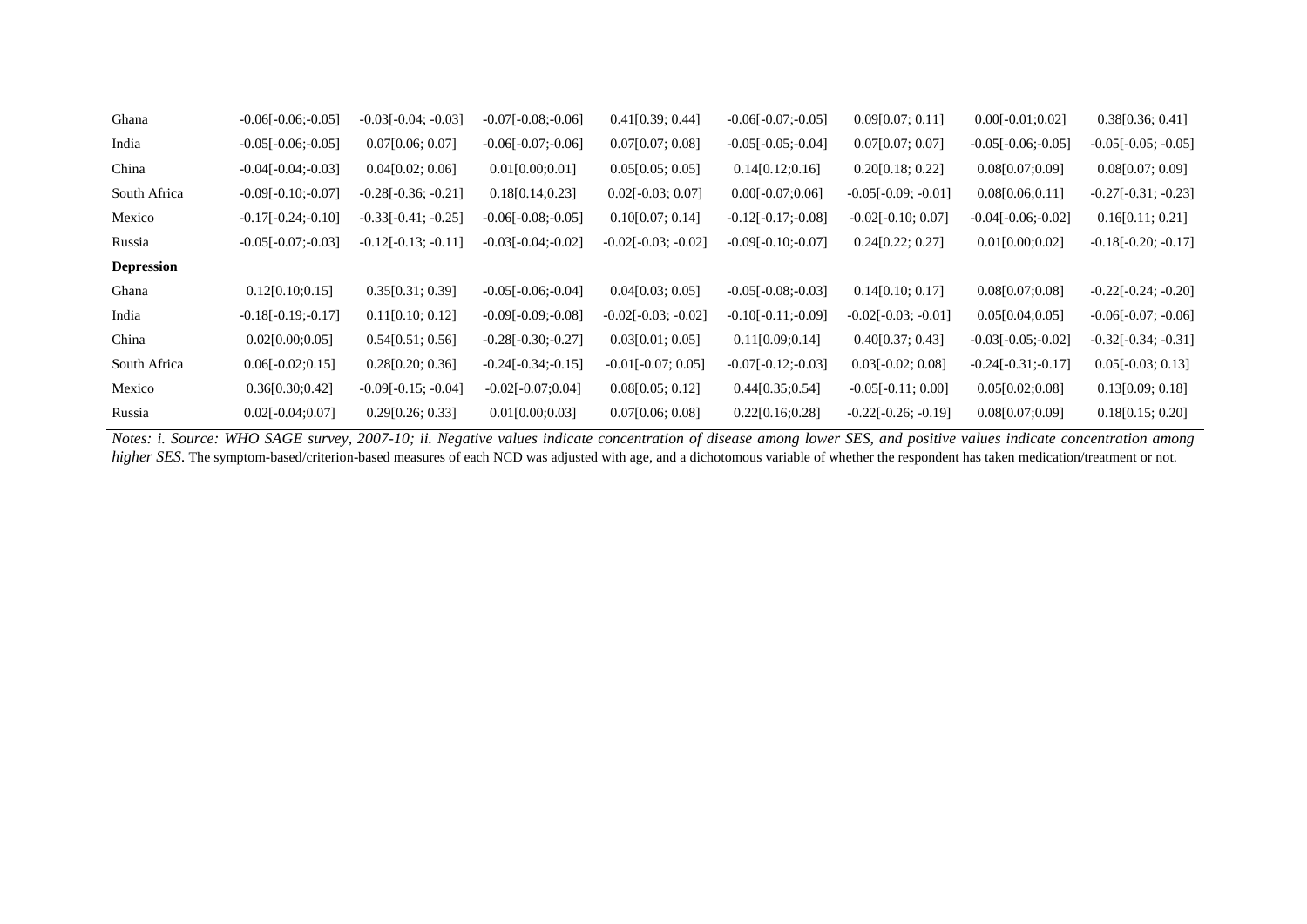| Ghana             | $-0.06[-0.06; -0.05]$ | $-0.03[-0.04; -0.03]$ | $-0.07[-0.08; -0.06]$ | 0.41[0.39; 0.44]      | $-0.06[-0.07; -0.05]$ | 0.09[0.07; 0.11]      | $0.00[-0.01;0.02]$    | 0.38[0.36; 0.41]      |
|-------------------|-----------------------|-----------------------|-----------------------|-----------------------|-----------------------|-----------------------|-----------------------|-----------------------|
| India             | $-0.05[-0.06; -0.05]$ | 0.07[0.06; 0.07]      | $-0.06[-0.07; -0.06]$ | 0.07[0.07; 0.08]      | $-0.05[-0.05; -0.04]$ | 0.07[0.07; 0.07]      | $-0.05[-0.06; -0.05]$ | $-0.05[-0.05; -0.05]$ |
| China             | $-0.04[-0.04; -0.03]$ | 0.04[0.02; 0.06]      | 0.01[0.00;0.01]       | 0.05[0.05; 0.05]      | 0.14[0.12;0.16]       | 0.20[0.18; 0.22]      | 0.08[0.07;0.09]       | 0.08[0.07; 0.09]      |
| South Africa      | $-0.09[-0.10; -0.07]$ | $-0.28[-0.36; -0.21]$ | 0.18[0.14;0.23]       | $0.02[-0.03; 0.07]$   | $0.00[-0.07;0.06]$    | $-0.05[-0.09; -0.01]$ | 0.08[0.06;0.11]       | $-0.27[-0.31; -0.23]$ |
| Mexico            | $-0.17[-0.24; -0.10]$ | $-0.33[-0.41; -0.25]$ | $-0.06[-0.08; -0.05]$ | 0.10[0.07; 0.14]      | $-0.12[-0.17; -0.08]$ | $-0.02[-0.10; 0.07]$  | $-0.04[-0.06; -0.02]$ | 0.16[0.11; 0.21]      |
| Russia            | $-0.05[-0.07; -0.03]$ | $-0.12[-0.13; -0.11]$ | $-0.03[-0.04; -0.02]$ | $-0.02[-0.03; -0.02]$ | $-0.09[-0.10; -0.07]$ | 0.24[0.22; 0.27]      | 0.01[0.00;0.02]       | $-0.18[-0.20; -0.17]$ |
| <b>Depression</b> |                       |                       |                       |                       |                       |                       |                       |                       |
| Ghana             | 0.12[0.10;0.15]       | 0.35[0.31; 0.39]      | $-0.05[-0.06; -0.04]$ | 0.04[0.03; 0.05]      | $-0.05[-0.08; -0.03]$ | 0.14[0.10; 0.17]      | 0.08[0.07;0.08]       | $-0.22[-0.24; -0.20]$ |
| India             | $-0.18[-0.19; -0.17]$ | 0.11[0.10; 0.12]      | $-0.09[-0.09; -0.08]$ | $-0.02[-0.03; -0.02]$ | $-0.10[-0.11; -0.09]$ | $-0.02[-0.03; -0.01]$ | 0.05[0.04;0.05]       | $-0.06[-0.07; -0.06]$ |
| China             | 0.02[0.00;0.05]       | 0.54[0.51; 0.56]      | $-0.28[-0.30; -0.27]$ | 0.03[0.01; 0.05]      | 0.11[0.09;0.14]       | 0.40[0.37; 0.43]      | $-0.03[-0.05; -0.02]$ | $-0.32[-0.34; -0.31]$ |
| South Africa      | $0.06[-0.02;0.15]$    | 0.28[0.20; 0.36]      | $-0.24[-0.34; -0.15]$ | $-0.01[-0.07; 0.05]$  | $-0.07[-0.12; -0.03]$ | $0.03[-0.02; 0.08]$   | $-0.24[-0.31; -0.17]$ | $0.05[-0.03; 0.13]$   |
| Mexico            | 0.36[0.30;0.42]       | $-0.09[-0.15; -0.04]$ | $-0.02[-0.07;0.04]$   | 0.08[0.05; 0.12]      | 0.44[0.35;0.54]       | $-0.05[-0.11; 0.00]$  | 0.05[0.02;0.08]       | 0.13[0.09; 0.18]      |
| Russia            | $0.02[-0.04;0.07]$    | 0.29[0.26; 0.33]      | 0.01[0.00;0.03]       | 0.07[0.06; 0.08]      | 0.22[0.16;0.28]       | $-0.22[-0.26; -0.19]$ | 0.08[0.07;0.09]       | 0.18[0.15; 0.20]      |

*Notes: i. Source: WHO SAGE survey, 2007-10; ii. Negative values indicate concentration of disease among lower SES, and positive values indicate concentration among higher SES*. The symptom-based/criterion-based measures of each NCD was adjusted with age, and a dichotomous variable of whether the respondent has taken medication/treatment or not.